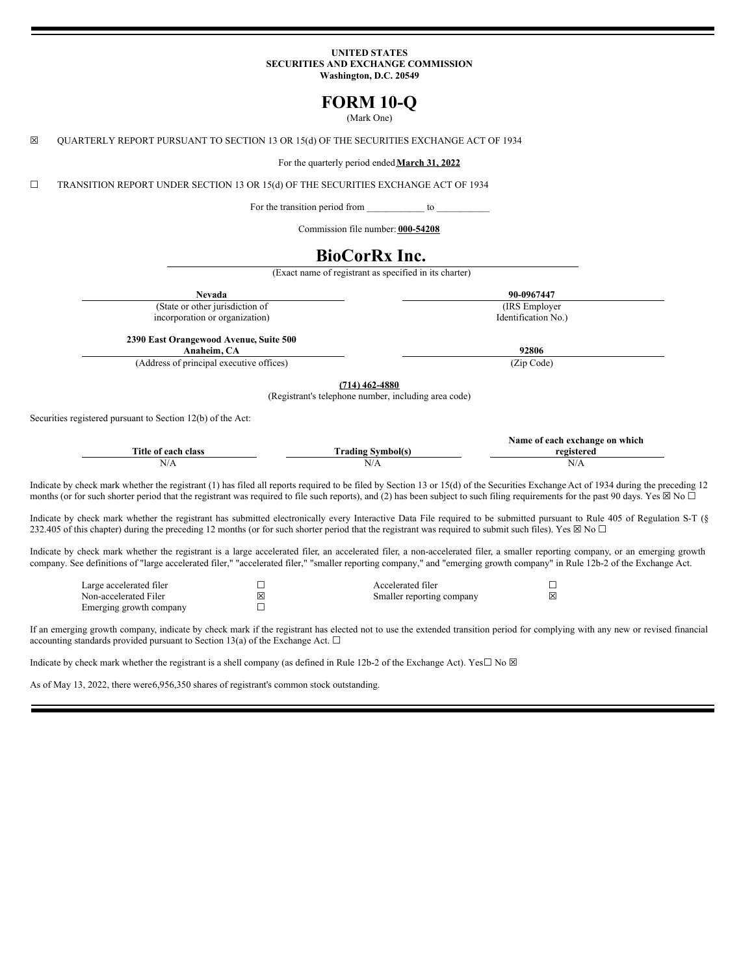### **UNITED STATES SECURITIES AND EXCHANGE COMMISSION Washington, D.C. 20549**

# **FORM 10-Q**

(Mark One)

☒ QUARTERLY REPORT PURSUANT TO SECTION 13 OR 15(d) OF THE SECURITIES EXCHANGE ACT OF 1934

For the quarterly period ended**March 31, 2022**

☐ TRANSITION REPORT UNDER SECTION 13 OR 15(d) OF THE SECURITIES EXCHANGE ACT OF 1934

For the transition period from \_\_\_\_\_\_\_\_\_\_\_\_\_ to \_

Commission file number: **000-54208**

# **BioCorRx Inc.**

(Exact name of registrant as specified in its charter)

| <b>Nevada</b>                                                            | 90-0967447          |  |  |  |  |  |
|--------------------------------------------------------------------------|---------------------|--|--|--|--|--|
| (State or other jurisdiction of                                          | (IRS Employer)      |  |  |  |  |  |
| incorporation or organization)                                           | Identification No.) |  |  |  |  |  |
| 2390 East Orangewood Avenue, Suite 500                                   |                     |  |  |  |  |  |
| Anaheim, CA                                                              | 92806               |  |  |  |  |  |
| (Address of principal executive offices)                                 | (Zip Code)          |  |  |  |  |  |
| $(714)$ 462-4880<br>(Registrant's telephone number, including area code) |                     |  |  |  |  |  |
| Securities registered pursuant to Section 12(b) of the Act:              |                     |  |  |  |  |  |

|                     |                          | Name of each exchange on which |
|---------------------|--------------------------|--------------------------------|
| Title of each class | <b>Trading Symbol(s)</b> | registered                     |
| N/A                 | N/A                      | N/A                            |

Indicate by check mark whether the registrant (1) has filed all reports required to be filed by Section 13 or 15(d) of the Securities Exchange Act of 1934 during the preceding 12 months (or for such shorter period that the registrant was required to file such reports), and (2) has been subject to such filing requirements for the past 90 days. Yes  $\boxtimes$  No  $\Box$ 

Indicate by check mark whether the registrant has submitted electronically every Interactive Data File required to be submitted pursuant to Rule 405 of Regulation S-T (§ 232.405 of this chapter) during the preceding 12 months (or for such shorter period that the registrant was required to submit such files). Yes  $\boxtimes$  No  $\Box$ 

Indicate by check mark whether the registrant is a large accelerated filer, an accelerated filer, a non-accelerated filer, a smaller reporting company, or an emerging growth company. See definitions of "large accelerated filer," "accelerated filer," "smaller reporting company," and "emerging growth company" in Rule 12b-2 of the Exchange Act.

| Large accelerated filer | Accelerated filer         |  |
|-------------------------|---------------------------|--|
| Non-accelerated Filer   | Smaller reporting company |  |
| Emerging growth company |                           |  |

If an emerging growth company, indicate by check mark if the registrant has elected not to use the extended transition period for complying with any new or revised financial accounting standards provided pursuant to Section 13(a) of the Exchange Act.  $\square$ 

Indicate by check mark whether the registrant is a shell company (as defined in Rule 12b-2 of the Exchange Act). Yes $\Box$  No  $\boxtimes$ 

As of May 13, 2022, there were6,956,350 shares of registrant's common stock outstanding.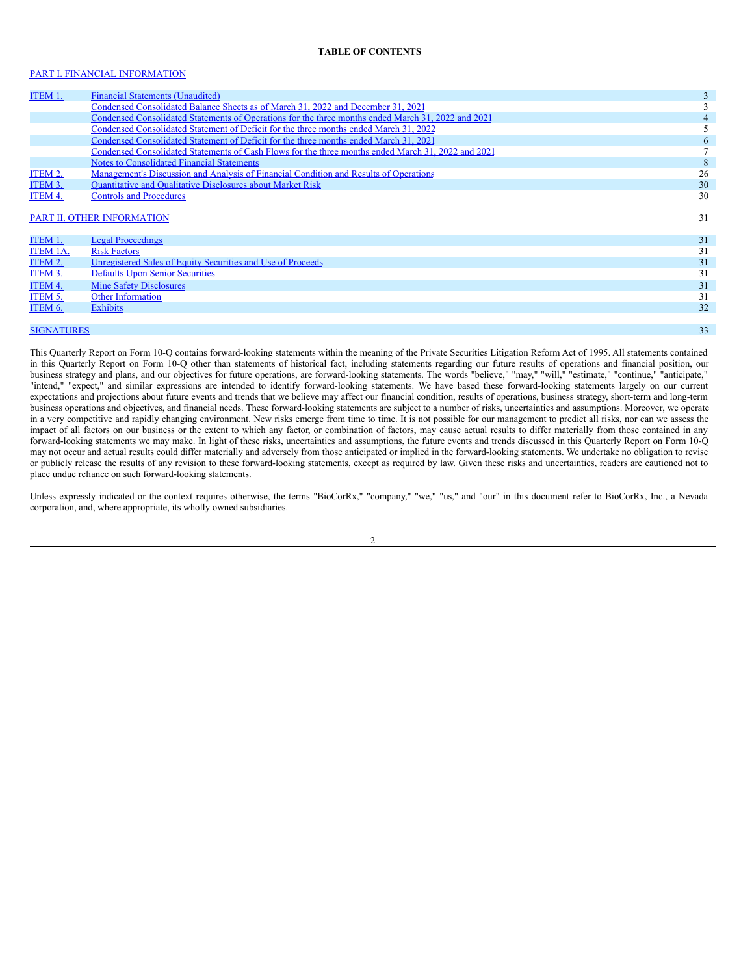## <span id="page-1-0"></span>**TABLE OF CONTENTS**

## PART I. FINANCIAL [INFORMATION](#page-2-0)

| ITEM 1.  | <b>Financial Statements (Unaudited)</b>                                                            | 3  |
|----------|----------------------------------------------------------------------------------------------------|----|
|          | Condensed Consolidated Balance Sheets as of March 31, 2022 and December 31, 2021                   |    |
|          | Condensed Consolidated Statements of Operations for the three months ended March 31, 2022 and 2021 |    |
|          | Condensed Consolidated Statement of Deficit for the three months ended March 31, 2022              |    |
|          | Condensed Consolidated Statement of Deficit for the three months ended March 31, 2021              | 6  |
|          | Condensed Consolidated Statements of Cash Flows for the three months ended March 31, 2022 and 2021 |    |
|          | <b>Notes to Consolidated Financial Statements</b>                                                  |    |
| ITEM 2.  | Management's Discussion and Analysis of Financial Condition and Results of Operations              | 26 |
| ITEM 3.  | Quantitative and Qualitative Disclosures about Market Risk                                         | 30 |
| ITEM 4.  | <b>Controls and Procedures</b>                                                                     | 30 |
|          |                                                                                                    |    |
|          | PART II. OTHER INFORMATION                                                                         | 31 |
|          |                                                                                                    |    |
| ITEM 1.  | <b>Legal Proceedings</b>                                                                           | 31 |
| ITEM 1A. | <b>Risk Factors</b>                                                                                | 31 |
| ITEM 2.  | Unregistered Sales of Equity Securities and Use of Proceeds                                        | 31 |
| ITEM 3.  | <b>Defaults Upon Senior Securities</b>                                                             | 31 |
| ITEM 4.  | <b>Mine Safety Disclosures</b>                                                                     | 31 |
| ITEM 5.  | Other Information                                                                                  | 31 |
| ITEM 6.  | Exhibits                                                                                           | 32 |
|          |                                                                                                    |    |

#### signatures that the contract of the contract of the contract of the contract of the contract of the contract of the contract of the contract of the contract of the contract of the contract of the contract of the contract o

This Quarterly Report on Form 10-Q contains forward-looking statements within the meaning of the Private Securities Litigation Reform Act of 1995. All statements contained in this Quarterly Report on Form 10-Q other than statements of historical fact, including statements regarding our future results of operations and financial position, our business strategy and plans, and our objectives for future operations, are forward-looking statements. The words "believe," "may," "will," "estimate," "continue," "anticipate," "intend," "expect," and similar expressions are intended to identify forward-looking statements. We have based these forward-looking statements largely on our current expectations and projections about future events and trends that we believe may affect our financial condition, results of operations, business strategy, short-term and long-term business operations and objectives, and financial needs. These forward-looking statements are subject to a number of risks, uncertainties and assumptions. Moreover, we operate in a very competitive and rapidly changing environment. New risks emerge from time to time. It is not possible for our management to predict all risks, nor can we assess the impact of all factors on our business or the extent to which any factor, or combination of factors, may cause actual results to differ materially from those contained in any forward-looking statements we may make. In light of these risks, uncertainties and assumptions, the future events and trends discussed in this Quarterly Report on Form 10-Q may not occur and actual results could differ materially and adversely from those anticipated or implied in the forward-looking statements. We undertake no obligation to revise or publicly release the results of any revision to these forward-looking statements, except as required by law. Given these risks and uncertainties, readers are cautioned not to place undue reliance on such forward-looking statements.

Unless expressly indicated or the context requires otherwise, the terms "BioCorRx," "company," "we," "us," and "our" in this document refer to BioCorRx, Inc., a Nevada corporation, and, where appropriate, its wholly owned subsidiaries.

#### $2<sup>2</sup>$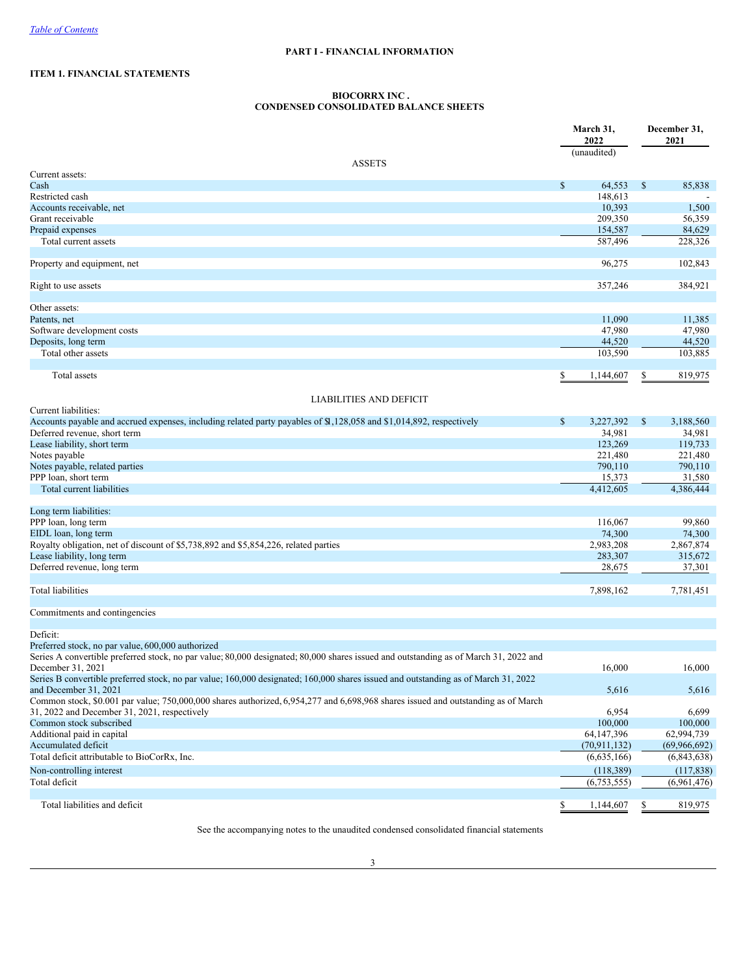## <span id="page-2-2"></span><span id="page-2-0"></span>**PART I - FINANCIAL INFORMATION**

## <span id="page-2-1"></span>**ITEM 1. FINANCIAL STATEMENTS**

## **BIOCORRX INC . CONDENSED CONSOLIDATED BALANCE SHEETS**

|                                                                                                                                                             |               | March 31,<br>2022 | December 31,<br>2021 |              |
|-------------------------------------------------------------------------------------------------------------------------------------------------------------|---------------|-------------------|----------------------|--------------|
|                                                                                                                                                             |               | (unaudited)       |                      |              |
| <b>ASSETS</b><br>Current assets:                                                                                                                            |               |                   |                      |              |
| Cash                                                                                                                                                        | \$            | 64,553            | \$                   | 85,838       |
| Restricted cash                                                                                                                                             |               | 148,613           |                      |              |
| Accounts receivable, net                                                                                                                                    |               | 10,393            |                      | 1,500        |
| Grant receivable                                                                                                                                            |               | 209,350           |                      | 56,359       |
| Prepaid expenses                                                                                                                                            |               | 154,587           |                      | 84,629       |
| Total current assets                                                                                                                                        |               | 587,496           |                      | 228,326      |
|                                                                                                                                                             |               |                   |                      |              |
| Property and equipment, net                                                                                                                                 |               | 96,275            |                      | 102,843      |
| Right to use assets                                                                                                                                         |               | 357,246           |                      | 384,921      |
| Other assets:                                                                                                                                               |               |                   |                      |              |
| Patents, net                                                                                                                                                |               | 11,090            |                      | 11,385       |
| Software development costs                                                                                                                                  |               | 47,980            |                      | 47,980       |
| Deposits, long term                                                                                                                                         |               | 44,520            |                      | 44,520       |
|                                                                                                                                                             |               |                   |                      |              |
| Total other assets                                                                                                                                          |               | 103,590           |                      | 103,885      |
| Total assets                                                                                                                                                | \$            | 1,144,607         | \$                   | 819,975      |
| <b>LIABILITIES AND DEFICIT</b>                                                                                                                              |               |                   |                      |              |
| Current liabilities:                                                                                                                                        |               |                   |                      |              |
| Accounts payable and accrued expenses, including related party payables of \$1,128,058 and \$1,014,892, respectively                                        | \$            | 3,227,392         | \$                   | 3,188,560    |
| Deferred revenue, short term                                                                                                                                |               | 34,981            |                      | 34,981       |
| Lease liability, short term                                                                                                                                 |               | 123,269           |                      | 119,733      |
| Notes payable                                                                                                                                               |               | 221,480           |                      | 221,480      |
| Notes payable, related parties                                                                                                                              |               | 790,110           |                      | 790,110      |
| PPP loan, short term                                                                                                                                        |               | 15,373            |                      | 31,580       |
| Total current liabilities                                                                                                                                   |               | 4,412,605         |                      | 4,386,444    |
| Long term liabilities:                                                                                                                                      |               |                   |                      |              |
| PPP loan, long term                                                                                                                                         |               | 116,067           |                      | 99,860       |
| EIDL loan, long term                                                                                                                                        |               | 74,300            |                      | 74,300       |
| Royalty obligation, net of discount of \$5,738,892 and \$5,854,226, related parties                                                                         |               | 2,983,208         |                      | 2,867,874    |
| Lease liability, long term                                                                                                                                  |               | 283,307           |                      | 315,672      |
| Deferred revenue, long term                                                                                                                                 |               | 28,675            |                      | 37,301       |
| Total liabilities                                                                                                                                           |               | 7,898,162         |                      | 7,781,451    |
| Commitments and contingencies                                                                                                                               |               |                   |                      |              |
|                                                                                                                                                             |               |                   |                      |              |
| Deficit:<br>Preferred stock, no par value, 600,000 authorized                                                                                               |               |                   |                      |              |
|                                                                                                                                                             |               |                   |                      |              |
| Series A convertible preferred stock, no par value; 80,000 designated; 80,000 shares issued and outstanding as of March 31, 2022 and                        |               |                   |                      |              |
| December 31, 2021                                                                                                                                           |               | 16,000            |                      | 16,000       |
| Series B convertible preferred stock, no par value; 160,000 designated; 160,000 shares issued and outstanding as of March 31, 2022<br>and December 31, 2021 |               | 5,616             |                      | 5,616        |
| Common stock, \$0.001 par value; 750,000,000 shares authorized, 6,954,277 and 6,698,968 shares issued and outstanding as of March                           |               |                   |                      |              |
| 31, 2022 and December 31, 2021, respectively                                                                                                                |               | 6,954             |                      | 6,699        |
| Common stock subscribed                                                                                                                                     |               | 100,000           |                      | 100,000      |
| Additional paid in capital                                                                                                                                  |               | 64, 147, 396      |                      | 62,994,739   |
| Accumulated deficit                                                                                                                                         |               | (70, 911, 132)    |                      | (69,966,692) |
| Total deficit attributable to BioCorRx, Inc.                                                                                                                |               | (6,635,166)       |                      | (6,843,638)  |
| Non-controlling interest                                                                                                                                    |               | (118, 389)        |                      | (117, 838)   |
| Total deficit                                                                                                                                               |               | (6,753,555)       |                      | (6,961,476)  |
|                                                                                                                                                             |               |                   |                      |              |
| Total liabilities and deficit                                                                                                                               | $\frac{1}{2}$ | 1,144,607         | \$                   | 819,975      |

See the accompanying notes to the unaudited condensed consolidated financial statements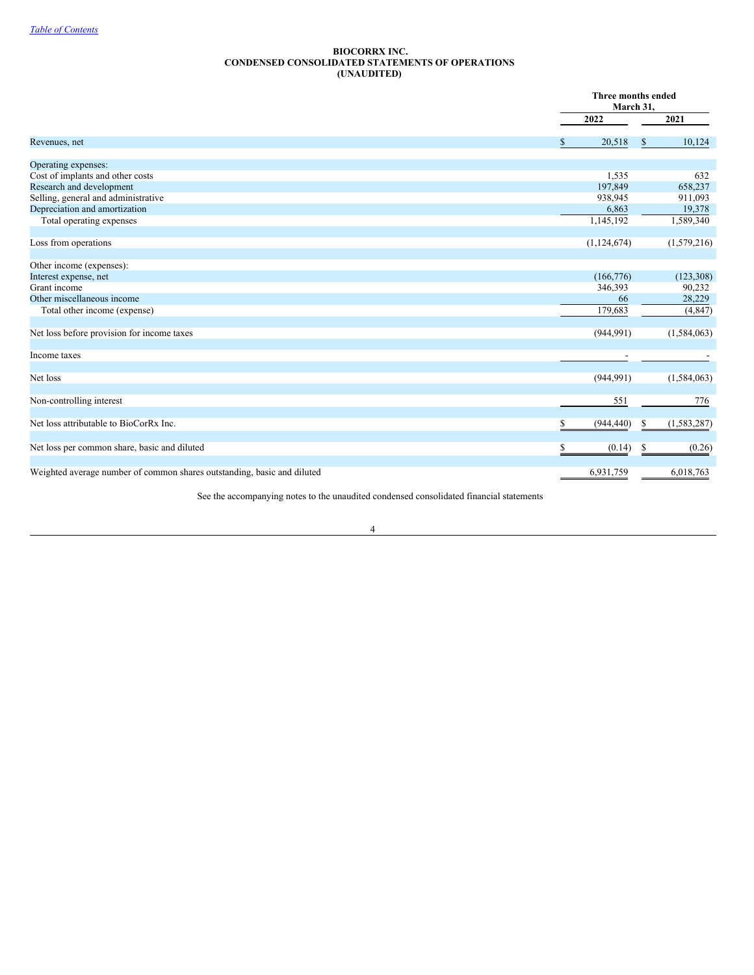## <span id="page-3-0"></span>**BIOCORRX INC. CONDENSED CONSOLIDATED STATEMENTS OF OPERATIONS (UNAUDITED)**

|                                                                         |                  | Three months ended<br>March 31, |
|-------------------------------------------------------------------------|------------------|---------------------------------|
|                                                                         | 2022             | 2021                            |
| Revenues, net                                                           | 20,518<br>\$     | 10,124<br>\$                    |
| Operating expenses:                                                     |                  |                                 |
| Cost of implants and other costs                                        | 1,535            | 632                             |
| Research and development                                                | 197,849          | 658,237                         |
| Selling, general and administrative                                     | 938,945          | 911,093                         |
| Depreciation and amortization                                           | 6,863            | 19,378                          |
| Total operating expenses                                                | 1,145,192        | 1,589,340                       |
| Loss from operations                                                    | (1, 124, 674)    | (1,579,216)                     |
| Other income (expenses):                                                |                  |                                 |
| Interest expense, net                                                   | (166, 776)       | (123, 308)                      |
| Grant income                                                            | 346,393          | 90,232                          |
| Other miscellaneous income                                              | 66               | 28,229                          |
| Total other income (expense)                                            | 179,683          | (4, 847)                        |
| Net loss before provision for income taxes                              | (944, 991)       | (1,584,063)                     |
| Income taxes                                                            |                  |                                 |
| Net loss                                                                | (944, 991)       | (1,584,063)                     |
| Non-controlling interest                                                | 551              | 776                             |
| Net loss attributable to BioCorRx Inc.                                  | (944, 440)<br>\$ | (1, 583, 287)<br>\$             |
| Net loss per common share, basic and diluted                            | S<br>(0.14)      | S<br>(0.26)                     |
| Weighted average number of common shares outstanding, basic and diluted | 6,931,759        | 6,018,763                       |
|                                                                         |                  |                                 |

See the accompanying notes to the unaudited condensed consolidated financial statements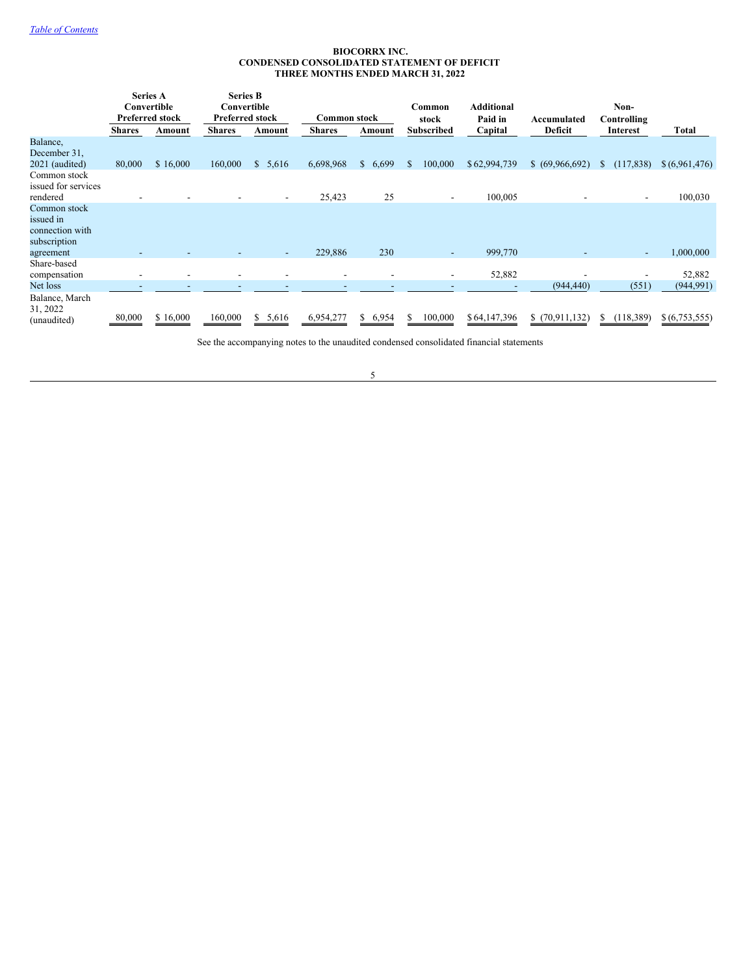## <span id="page-4-0"></span>**BIOCORRX INC. CONDENSED CONSOLIDATED STATEMENT OF DEFICIT THREE MONTHS ENDED MARCH 31, 2022**

|                                                                           | <b>Series A</b> | Convertible                      | <b>Series B</b><br>Convertible          |                          |                                      |             | Common                   | <b>Additional</b>  |                              | Non-                     |                             |
|---------------------------------------------------------------------------|-----------------|----------------------------------|-----------------------------------------|--------------------------|--------------------------------------|-------------|--------------------------|--------------------|------------------------------|--------------------------|-----------------------------|
|                                                                           | <b>Shares</b>   | <b>Preferred stock</b><br>Amount | <b>Preferred stock</b><br><b>Shares</b> | Amount                   | <b>Common stock</b><br><b>Shares</b> | Amount      | stock<br>Subscribed      | Paid in<br>Capital | Accumulated<br>Deficit       | Controlling<br>Interest  | Total                       |
| Balance,<br>December 31,<br>2021 (audited)                                | 80,000          | \$16,000                         | 160,000                                 | 5,616<br><sup>S</sup>    | 6,698,968                            | 6,699<br>S. | 100,000<br><sup>\$</sup> | \$62,994,739       | \$ (69,966,692)              | (117, 838)<br>S          | \$(6,961,476)               |
| Common stock<br>issued for services<br>rendered                           |                 |                                  |                                         |                          | 25,423                               | 25          |                          | 100,005            |                              |                          | 100,030                     |
| Common stock<br>issued in<br>connection with<br>subscription<br>agreement |                 |                                  |                                         | $\overline{\phantom{0}}$ | 229,886                              | 230         | $\overline{\phantom{a}}$ | 999,770            |                              | $\overline{\phantom{a}}$ | 1,000,000                   |
| Share-based<br>compensation                                               |                 |                                  |                                         |                          |                                      |             |                          | 52,882             |                              | $\overline{\phantom{a}}$ | 52,882                      |
| Net loss<br>Balance, March<br>31, 2022<br>(unaudited)                     | 80,000          | \$16,000                         | 160,000                                 | 5,616<br>S.              | 6,954,277                            | \$6,954     | 100,000<br>S.            | \$64,147,396       | (944, 440)<br>\$(70,911,132) | (551)<br>(118,389)<br>S  | (944, 991)<br>\$(6,753,555) |

See the accompanying notes to the unaudited condensed consolidated financial statements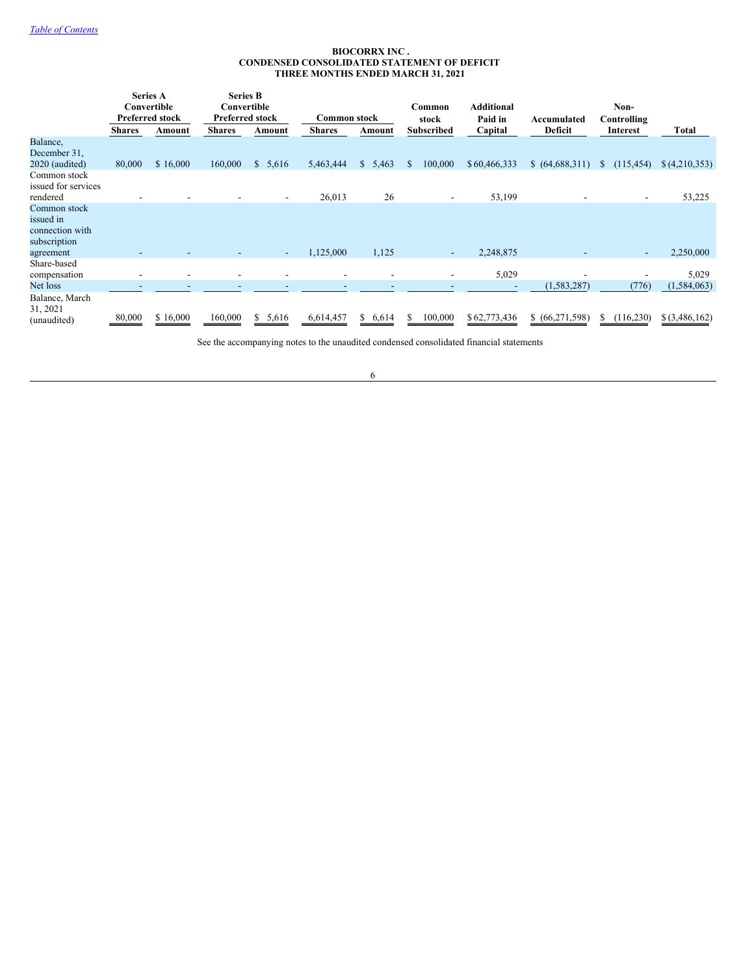## <span id="page-5-0"></span>**BIOCORRX INC . CONDENSED CONSOLIDATED STATEMENT OF DEFICIT THREE MONTHS ENDED MARCH 31, 2021**

|                                                                           | <b>Series A</b><br>Convertible          |          | <b>Series B</b><br>Convertible          |                          |                               |              | Common                   | <b>Additional</b>  |                                  | Non-                      |                                    |
|---------------------------------------------------------------------------|-----------------------------------------|----------|-----------------------------------------|--------------------------|-------------------------------|--------------|--------------------------|--------------------|----------------------------------|---------------------------|------------------------------------|
|                                                                           | <b>Preferred stock</b><br><b>Shares</b> | Amount   | <b>Preferred stock</b><br><b>Shares</b> | Amount                   | Common stock<br><b>Shares</b> | Amount       | stock<br>Subscribed      | Paid in<br>Capital | Accumulated<br>Deficit           | Controlling<br>Interest   | Total                              |
| Balance,<br>December 31,<br>2020 (audited)                                | 80,000                                  | \$16,000 | 160,000                                 | $\mathbb{S}$<br>5,616    | 5,463,444                     | <sup>S</sup> | 100,000<br><sup>\$</sup> | \$60,466,333       | \$ (64,688,311)                  | (115, 454)<br>S           |                                    |
| Common stock<br>issued for services<br>rendered                           |                                         |          |                                         | $\overline{\phantom{a}}$ | 26,013                        | 5,463<br>26  | $\overline{\phantom{a}}$ | 53,199             |                                  | $\overline{\phantom{a}}$  | \$(4,210,353)<br>53,225            |
| Common stock<br>issued in<br>connection with<br>subscription<br>agreement |                                         |          |                                         | $\overline{\phantom{a}}$ | 1,125,000                     | 1,125        | $\overline{\phantom{a}}$ | 2,248,875          |                                  | $\overline{\phantom{0}}$  | 2,250,000                          |
| Share-based<br>compensation                                               |                                         |          |                                         |                          |                               |              |                          | 5,029              |                                  |                           | 5,029                              |
| Net loss<br>Balance, March<br>31, 2021<br>(unaudited)                     | 80,000                                  | \$16,000 | 160,000                                 | \$5,616                  | 6,614,457                     | \$6,614      | 100,000<br>S             | \$62,773,436       | (1, 583, 287)<br>\$ (66,271,598) | (776)<br>(116, 230)<br>S. | (1, 584, 063)<br>$$$ $(3,486,162)$ |

See the accompanying notes to the unaudited condensed consolidated financial statements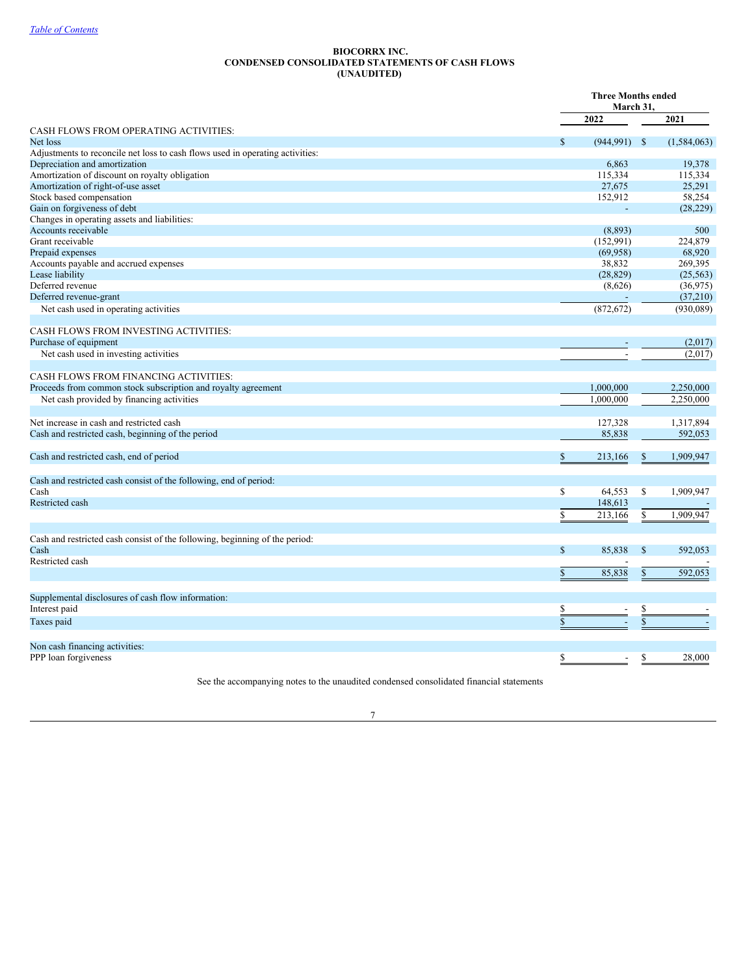## <span id="page-6-0"></span>**BIOCORRX INC. CONDENSED CONSOLIDATED STATEMENTS OF CASH FLOWS (UNAUDITED)**

|                                                                               |                                           | <b>Three Months ended</b><br>March 31, |             |  |
|-------------------------------------------------------------------------------|-------------------------------------------|----------------------------------------|-------------|--|
|                                                                               | 2022                                      |                                        | 2021        |  |
| CASH FLOWS FROM OPERATING ACTIVITIES:                                         |                                           |                                        |             |  |
| Net loss                                                                      | $\mathbb{S}$<br>(944, 991)                | - \$                                   | (1,584,063) |  |
| Adjustments to reconcile net loss to cash flows used in operating activities: |                                           |                                        |             |  |
| Depreciation and amortization                                                 | 6,863                                     |                                        | 19,378      |  |
| Amortization of discount on royalty obligation                                | 115,334                                   |                                        | 115,334     |  |
| Amortization of right-of-use asset                                            | 27,675                                    |                                        | 25,291      |  |
| Stock based compensation                                                      | 152,912                                   |                                        | 58,254      |  |
| Gain on forgiveness of debt                                                   |                                           |                                        | (28, 229)   |  |
| Changes in operating assets and liabilities:                                  |                                           |                                        |             |  |
| Accounts receivable                                                           | (8, 893)                                  |                                        | 500         |  |
| Grant receivable                                                              | (152,991)                                 |                                        | 224,879     |  |
| Prepaid expenses                                                              | (69, 958)                                 |                                        | 68,920      |  |
| Accounts payable and accrued expenses                                         | 38,832                                    |                                        | 269,395     |  |
| Lease liability                                                               | (28, 829)                                 |                                        | (25, 563)   |  |
| Deferred revenue                                                              | (8,626)                                   |                                        | (36,975)    |  |
| Deferred revenue-grant                                                        |                                           |                                        | (37,210)    |  |
| Net cash used in operating activities                                         | (872, 672)                                |                                        | (930,089)   |  |
|                                                                               |                                           |                                        |             |  |
| CASH FLOWS FROM INVESTING ACTIVITIES:                                         |                                           |                                        |             |  |
| Purchase of equipment                                                         |                                           |                                        | (2,017)     |  |
| Net cash used in investing activities                                         | $\overline{\phantom{a}}$                  |                                        | (2,017)     |  |
|                                                                               |                                           |                                        |             |  |
| CASH FLOWS FROM FINANCING ACTIVITIES:                                         |                                           |                                        |             |  |
| Proceeds from common stock subscription and royalty agreement                 | 1,000,000                                 |                                        | 2,250,000   |  |
| Net cash provided by financing activities                                     | 1,000,000                                 |                                        | 2,250,000   |  |
|                                                                               |                                           |                                        |             |  |
|                                                                               |                                           |                                        |             |  |
| Net increase in cash and restricted cash                                      | 127,328                                   |                                        | 1,317,894   |  |
| Cash and restricted cash, beginning of the period                             | 85,838                                    |                                        | 592,053     |  |
|                                                                               |                                           |                                        |             |  |
| Cash and restricted cash, end of period                                       | $\$$<br>213,166                           | $\$$                                   | 1,909,947   |  |
|                                                                               |                                           |                                        |             |  |
| Cash and restricted cash consist of the following, end of period:             |                                           |                                        |             |  |
| Cash                                                                          | \$<br>64,553                              | \$                                     | 1,909,947   |  |
| <b>Restricted cash</b>                                                        | 148,613                                   |                                        |             |  |
|                                                                               | \$<br>213,166                             | \$                                     | 1,909,947   |  |
|                                                                               |                                           |                                        |             |  |
| Cash and restricted cash consist of the following, beginning of the period:   |                                           |                                        |             |  |
| Cash                                                                          | $\mathbb{S}$<br>85,838                    | $\mathsf{\$}$                          | 592,053     |  |
| Restricted cash                                                               |                                           |                                        |             |  |
|                                                                               | $\$$<br>85,838                            | $\$$                                   | 592,053     |  |
|                                                                               |                                           |                                        |             |  |
|                                                                               |                                           |                                        |             |  |
| Supplemental disclosures of cash flow information:                            |                                           |                                        |             |  |
| Interest paid                                                                 | $\frac{1}{2}$<br>$\overline{\phantom{a}}$ |                                        |             |  |
| Taxes paid                                                                    | \$                                        | \$                                     |             |  |
|                                                                               |                                           |                                        |             |  |
| Non cash financing activities:                                                |                                           |                                        |             |  |
| PPP loan forgiveness                                                          | \$<br>$\blacksquare$                      | \$                                     | 28,000      |  |
|                                                                               |                                           |                                        |             |  |

See the accompanying notes to the unaudited condensed consolidated financial statements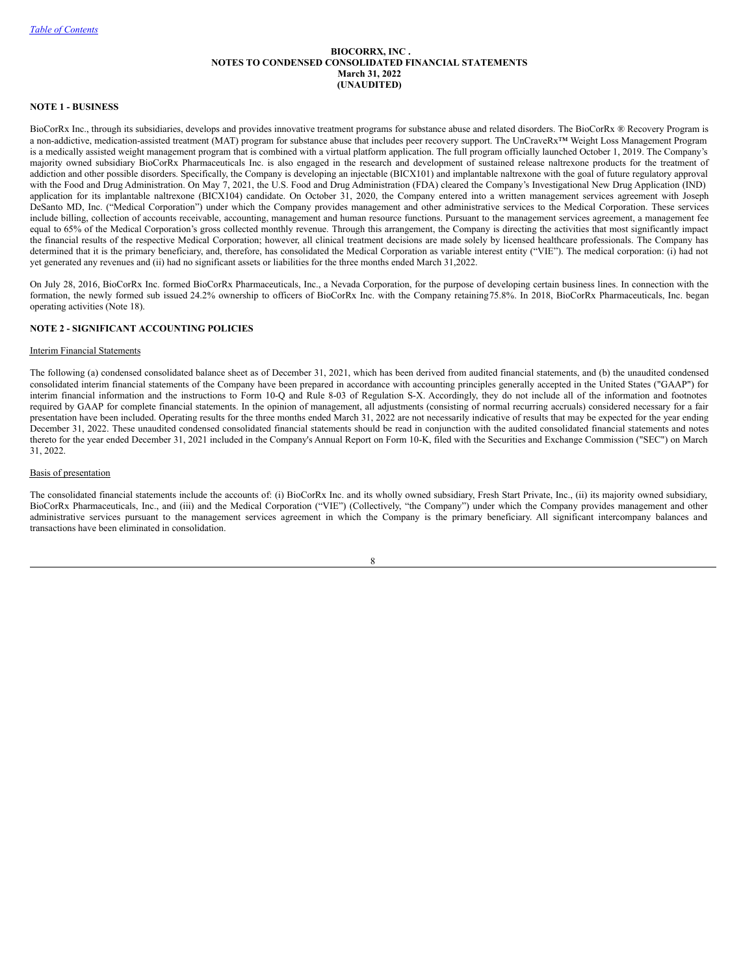## <span id="page-7-0"></span>**BIOCORRX, INC . NOTES TO CONDENSED CONSOLIDATED FINANCIAL STATEMENTS March 31, 2022 (UNAUDITED)**

## **NOTE 1 - BUSINESS**

BioCorRx Inc., through its subsidiaries, develops and provides innovative treatment programs for substance abuse and related disorders. The BioCorRx ® Recovery Program is a non-addictive, medication-assisted treatment (MAT) program for substance abuse that includes peer recovery support. The UnCraveRx™ Weight Loss Management Program is a medically assisted weight management program that is combined with a virtual platform application. The full program officially launched October 1, 2019. The Company's majority owned subsidiary BioCorRx Pharmaceuticals Inc. is also engaged in the research and development of sustained release naltrexone products for the treatment of addiction and other possible disorders. Specifically, the Company is developing an injectable (BICX101) and implantable naltrexone with the goal of future regulatory approval with the Food and Drug Administration. On May 7, 2021, the U.S. Food and Drug Administration (FDA) cleared the Company's Investigational New Drug Application (IND) application for its implantable naltrexone (BICX104) candidate. On October 31, 2020, the Company entered into a written management services agreement with Joseph DeSanto MD, Inc. ("Medical Corporation") under which the Company provides management and other administrative services to the Medical Corporation. These services include billing, collection of accounts receivable, accounting, management and human resource functions. Pursuant to the management services agreement, a management fee equal to 65% of the Medical Corporation's gross collected monthly revenue. Through this arrangement, the Company is directing the activities that most significantly impact the financial results of the respective Medical Corporation; however, all clinical treatment decisions are made solely by licensed healthcare professionals. The Company has determined that it is the primary beneficiary, and, therefore, has consolidated the Medical Corporation as variable interest entity ("VIE"). The medical corporation: (i) had not yet generated any revenues and (ii) had no significant assets or liabilities for the three months ended March 31,2022.

On July 28, 2016, BioCorRx Inc. formed BioCorRx Pharmaceuticals, Inc., a Nevada Corporation, for the purpose of developing certain business lines. In connection with the formation, the newly formed sub issued 24.2% ownership to officers of BioCorRx Inc. with the Company retaining75.8%. In 2018, BioCorRx Pharmaceuticals, Inc. began operating activities (Note 18).

## **NOTE 2 - SIGNIFICANT ACCOUNTING POLICIES**

## Interim Financial Statements

The following (a) condensed consolidated balance sheet as of December 31, 2021, which has been derived from audited financial statements, and (b) the unaudited condensed consolidated interim financial statements of the Company have been prepared in accordance with accounting principles generally accepted in the United States ("GAAP") for interim financial information and the instructions to Form 10-Q and Rule 8-03 of Regulation S-X. Accordingly, they do not include all of the information and footnotes required by GAAP for complete financial statements. In the opinion of management, all adjustments (consisting of normal recurring accruals) considered necessary for a fair presentation have been included. Operating results for the three months ended March 31, 2022 are not necessarily indicative of results that may be expected for the year ending December 31, 2022. These unaudited condensed consolidated financial statements should be read in conjunction with the audited consolidated financial statements and notes thereto for the year ended December 31, 2021 included in the Company's Annual Report on Form 10-K, filed with the Securities and Exchange Commission ("SEC") on March 31, 2022.

#### Basis of presentation

The consolidated financial statements include the accounts of: (i) BioCorRx Inc. and its wholly owned subsidiary, Fresh Start Private, Inc., (ii) its majority owned subsidiary, BioCorRx Pharmaceuticals, Inc., and (iii) and the Medical Corporation ("VIE") (Collectively, "the Company") under which the Company provides management and other administrative services pursuant to the management services agreement in which the Company is the primary beneficiary. All significant intercompany balances and transactions have been eliminated in consolidation.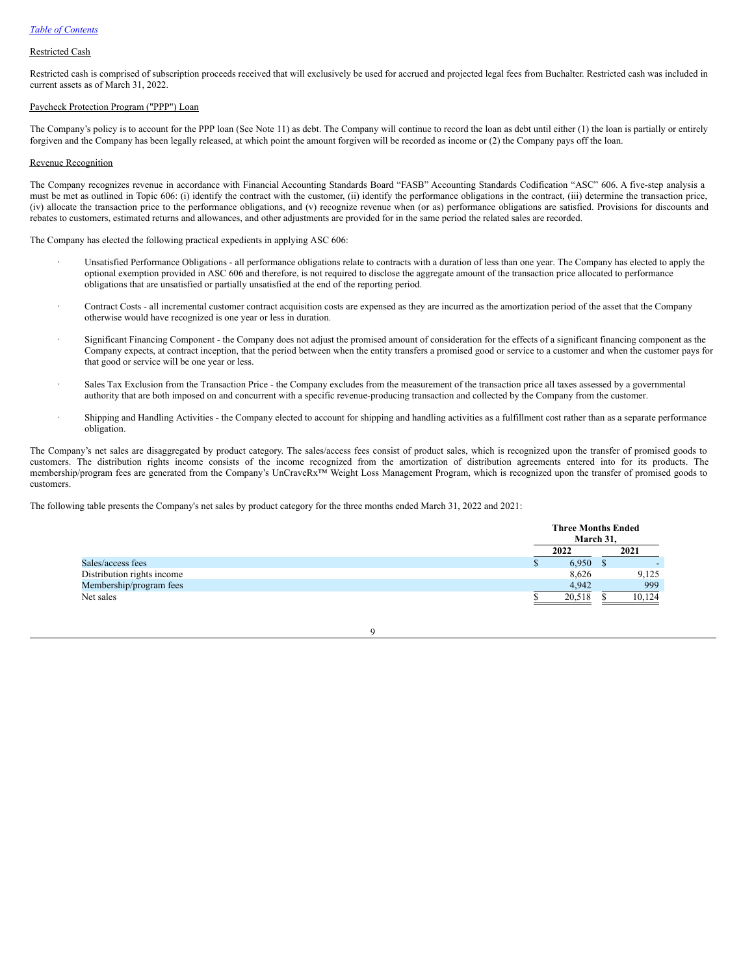## Restricted Cash

Restricted cash is comprised of subscription proceeds received that will exclusively be used for accrued and projected legal fees from Buchalter. Restricted cash was included in current assets as of March 31, 2022.

## Paycheck Protection Program ("PPP") Loan

The Company's policy is to account for the PPP loan (See Note 11) as debt. The Company will continue to record the loan as debt until either (1) the loan is partially or entirely forgiven and the Company has been legally released, at which point the amount forgiven will be recorded as income or (2) the Company pays off the loan.

## Revenue Recognition

The Company recognizes revenue in accordance with Financial Accounting Standards Board "FASB" Accounting Standards Codification "ASC" 606. A five-step analysis a must be met as outlined in Topic 606: (i) identify the contract with the customer, (ii) identify the performance obligations in the contract, (iii) determine the transaction price, (iv) allocate the transaction price to the performance obligations, and (v) recognize revenue when (or as) performance obligations are satisfied. Provisions for discounts and rebates to customers, estimated returns and allowances, and other adjustments are provided for in the same period the related sales are recorded.

The Company has elected the following practical expedients in applying ASC 606:

- · Unsatisfied Performance Obligations all performance obligations relate to contracts with a duration of less than one year. The Company has elected to apply the optional exemption provided in ASC 606 and therefore, is not required to disclose the aggregate amount of the transaction price allocated to performance obligations that are unsatisfied or partially unsatisfied at the end of the reporting period.
- · Contract Costs all incremental customer contract acquisition costs are expensed as they are incurred as the amortization period of the asset that the Company otherwise would have recognized is one year or less in duration.
- · Significant Financing Component the Company does not adjust the promised amount of consideration for the effects of a significant financing component as the Company expects, at contract inception, that the period between when the entity transfers a promised good or service to a customer and when the customer pays for that good or service will be one year or less.
- Sales Tax Exclusion from the Transaction Price the Company excludes from the measurement of the transaction price all taxes assessed by a governmental authority that are both imposed on and concurrent with a specific revenue-producing transaction and collected by the Company from the customer.
- · Shipping and Handling Activities the Company elected to account for shipping and handling activities as a fulfillment cost rather than as a separate performance obligation.

The Company's net sales are disaggregated by product category. The sales/access fees consist of product sales, which is recognized upon the transfer of promised goods to customers. The distribution rights income consists of the income recognized from the amortization of distribution agreements entered into for its products. The membership/program fees are generated from the Company's UnCraveRx™ Weight Loss Management Program, which is recognized upon the transfer of promised goods to customers.

The following table presents the Company's net sales by product category for the three months ended March 31, 2022 and 2021:

|                            |      | <b>Three Months Ended</b><br>March 31. |  |        |
|----------------------------|------|----------------------------------------|--|--------|
|                            | 2022 |                                        |  | 2021   |
| Sales/access fees          |      | 6,950                                  |  |        |
| Distribution rights income |      | 8.626                                  |  | 9,125  |
| Membership/program fees    |      | 4.942                                  |  | 999    |
| Net sales                  |      | 20,518                                 |  | 10.124 |

 $\overline{Q}$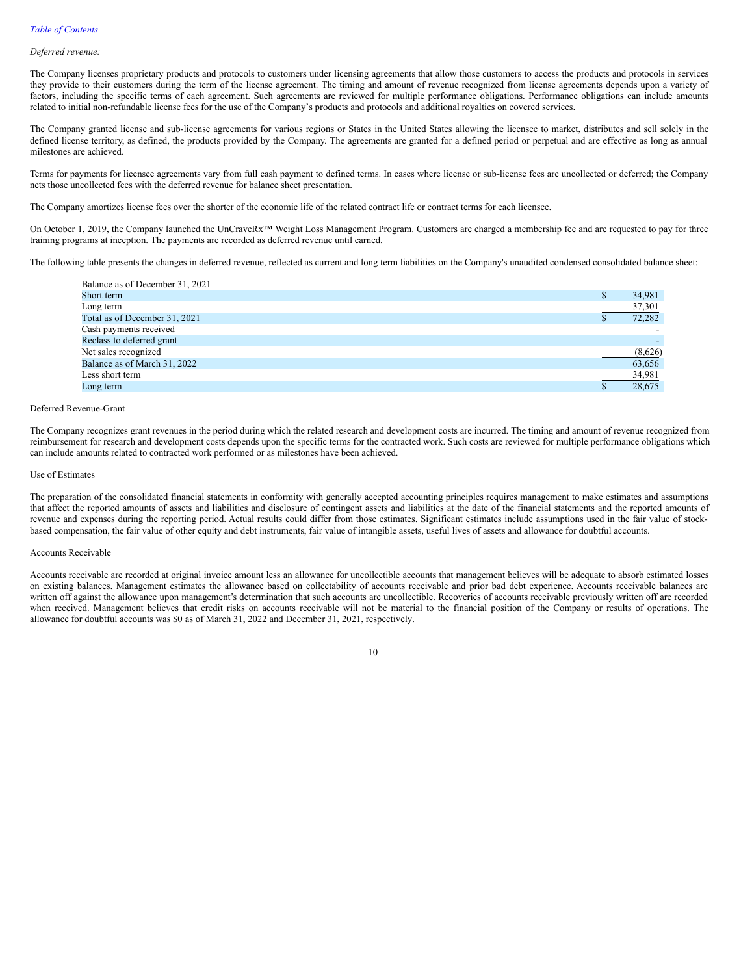## *Deferred revenue:*

The Company licenses proprietary products and protocols to customers under licensing agreements that allow those customers to access the products and protocols in services they provide to their customers during the term of the license agreement. The timing and amount of revenue recognized from license agreements depends upon a variety of factors, including the specific terms of each agreement. Such agreements are reviewed for multiple performance obligations. Performance obligations can include amounts related to initial non-refundable license fees for the use of the Company's products and protocols and additional royalties on covered services.

The Company granted license and sub-license agreements for various regions or States in the United States allowing the licensee to market, distributes and sell solely in the defined license territory, as defined, the products provided by the Company. The agreements are granted for a defined period or perpetual and are effective as long as annual milestones are achieved.

Terms for payments for licensee agreements vary from full cash payment to defined terms. In cases where license or sub-license fees are uncollected or deferred; the Company nets those uncollected fees with the deferred revenue for balance sheet presentation.

The Company amortizes license fees over the shorter of the economic life of the related contract life or contract terms for each licensee.

On October 1, 2019, the Company launched the UnCraveRx™ Weight Loss Management Program. Customers are charged a membership fee and are requested to pay for three training programs at inception. The payments are recorded as deferred revenue until earned.

The following table presents the changes in deferred revenue, reflected as current and long term liabilities on the Company's unaudited condensed consolidated balance sheet:

| Balance as of December 31, 2021 |              |
|---------------------------------|--------------|
| Short term                      | \$<br>34,981 |
| Long term                       | 37,301       |
| Total as of December 31, 2021   | 72,282       |
| Cash payments received          |              |
| Reclass to deferred grant       |              |
| Net sales recognized            | (8,626)      |
| Balance as of March 31, 2022    | 63,656       |
| Less short term                 | 34,981       |
| Long term                       | 28,675       |

#### Deferred Revenue-Grant

The Company recognizes grant revenues in the period during which the related research and development costs are incurred. The timing and amount of revenue recognized from reimbursement for research and development costs depends upon the specific terms for the contracted work. Such costs are reviewed for multiple performance obligations which can include amounts related to contracted work performed or as milestones have been achieved.

## Use of Estimates

The preparation of the consolidated financial statements in conformity with generally accepted accounting principles requires management to make estimates and assumptions that affect the reported amounts of assets and liabilities and disclosure of contingent assets and liabilities at the date of the financial statements and the reported amounts of revenue and expenses during the reporting period. Actual results could differ from those estimates. Significant estimates include assumptions used in the fair value of stockbased compensation, the fair value of other equity and debt instruments, fair value of intangible assets, useful lives of assets and allowance for doubtful accounts.

## Accounts Receivable

Accounts receivable are recorded at original invoice amount less an allowance for uncollectible accounts that management believes will be adequate to absorb estimated losses on existing balances. Management estimates the allowance based on collectability of accounts receivable and prior bad debt experience. Accounts receivable balances are written off against the allowance upon management's determination that such accounts are uncollectible. Recoveries of accounts receivable previously written off are recorded when received. Management believes that credit risks on accounts receivable will not be material to the financial position of the Company or results of operations. The allowance for doubtful accounts was \$0 as of March 31, 2022 and December 31, 2021, respectively.

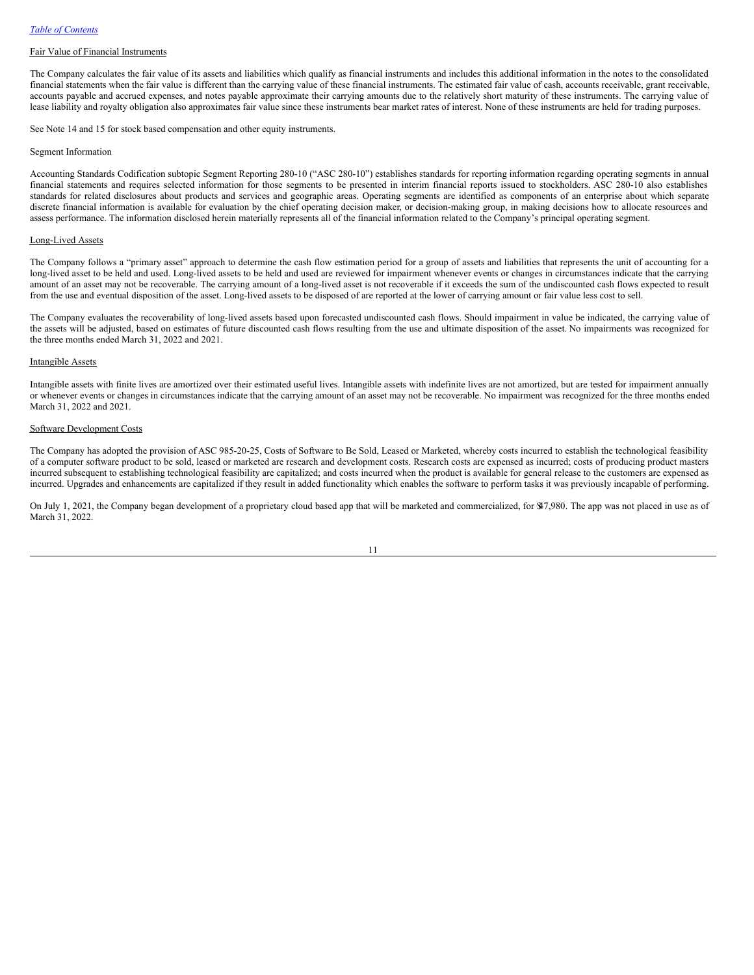## Fair Value of Financial Instruments

The Company calculates the fair value of its assets and liabilities which qualify as financial instruments and includes this additional information in the notes to the consolidated financial statements when the fair value is different than the carrying value of these financial instruments. The estimated fair value of cash, accounts receivable, grant receivable, accounts payable and accrued expenses, and notes payable approximate their carrying amounts due to the relatively short maturity of these instruments. The carrying value of lease liability and royalty obligation also approximates fair value since these instruments bear market rates of interest. None of these instruments are held for trading purposes.

See Note 14 and 15 for stock based compensation and other equity instruments.

#### Segment Information

Accounting Standards Codification subtopic Segment Reporting 280-10 ("ASC 280-10") establishes standards for reporting information regarding operating segments in annual financial statements and requires selected information for those segments to be presented in interim financial reports issued to stockholders. ASC 280-10 also establishes standards for related disclosures about products and services and geographic areas. Operating segments are identified as components of an enterprise about which separate discrete financial information is available for evaluation by the chief operating decision maker, or decision-making group, in making decisions how to allocate resources and assess performance. The information disclosed herein materially represents all of the financial information related to the Company's principal operating segment.

#### Long-Lived Assets

The Company follows a "primary asset" approach to determine the cash flow estimation period for a group of assets and liabilities that represents the unit of accounting for a long-lived asset to be held and used. Long-lived assets to be held and used are reviewed for impairment whenever events or changes in circumstances indicate that the carrying amount of an asset may not be recoverable. The carrying amount of a long-lived asset is not recoverable if it exceeds the sum of the undiscounted cash flows expected to result from the use and eventual disposition of the asset. Long-lived assets to be disposed of are reported at the lower of carrying amount or fair value less cost to sell.

The Company evaluates the recoverability of long-lived assets based upon forecasted undiscounted cash flows. Should impairment in value be indicated, the carrying value of the assets will be adjusted, based on estimates of future discounted cash flows resulting from the use and ultimate disposition of the asset. No impairments was recognized for the three months ended March 31, 2022 and 2021.

#### Intangible Assets

Intangible assets with finite lives are amortized over their estimated useful lives. Intangible assets with indefinite lives are not amortized, but are tested for impairment annually or whenever events or changes in circumstances indicate that the carrying amount of an asset may not be recoverable. No impairment was recognized for the three months ended March 31, 2022 and 2021.

#### Software Development Costs

The Company has adopted the provision of ASC 985-20-25, Costs of Software to Be Sold, Leased or Marketed, whereby costs incurred to establish the technological feasibility of a computer software product to be sold, leased or marketed are research and development costs. Research costs are expensed as incurred; costs of producing product masters incurred subsequent to establishing technological feasibility are capitalized; and costs incurred when the product is available for general release to the customers are expensed as incurred. Upgrades and enhancements are capitalized if they result in added functionality which enables the software to perform tasks it was previously incapable of performing.

On July 1, 2021, the Company began development of a proprietary cloud based app that will be marketed and commercialized, for \$47,980. The app was not placed in use as of March 31, 2022.

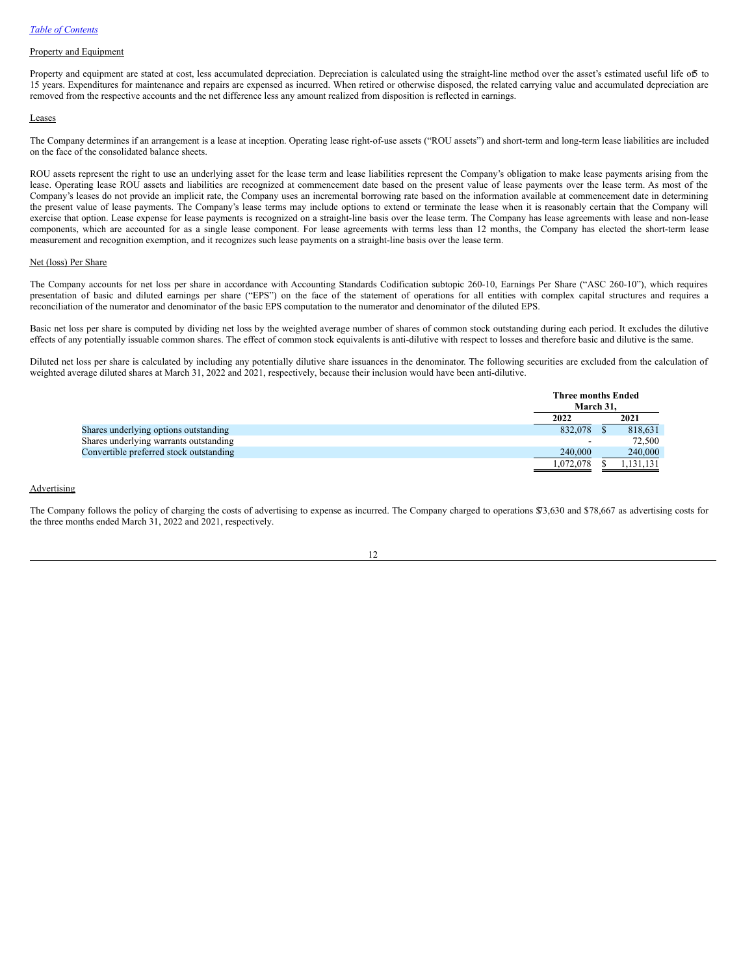## Property and Equipment

Property and equipment are stated at cost, less accumulated depreciation. Depreciation is calculated using the straight-line method over the asset's estimated useful life of5 to 15 years. Expenditures for maintenance and repairs are expensed as incurred. When retired or otherwise disposed, the related carrying value and accumulated depreciation are removed from the respective accounts and the net difference less any amount realized from disposition is reflected in earnings.

#### Leases

The Company determines if an arrangement is a lease at inception. Operating lease right-of-use assets ("ROU assets") and short-term and long-term lease liabilities are included on the face of the consolidated balance sheets.

ROU assets represent the right to use an underlying asset for the lease term and lease liabilities represent the Company's obligation to make lease payments arising from the lease. Operating lease ROU assets and liabilities are recognized at commencement date based on the present value of lease payments over the lease term. As most of the Company's leases do not provide an implicit rate, the Company uses an incremental borrowing rate based on the information available at commencement date in determining the present value of lease payments. The Company's lease terms may include options to extend or terminate the lease when it is reasonably certain that the Company will exercise that option. Lease expense for lease payments is recognized on a straight-line basis over the lease term. The Company has lease agreements with lease and non-lease components, which are accounted for as a single lease component. For lease agreements with terms less than 12 months, the Company has elected the short-term lease measurement and recognition exemption, and it recognizes such lease payments on a straight-line basis over the lease term.

## Net (loss) Per Share

The Company accounts for net loss per share in accordance with Accounting Standards Codification subtopic 260-10, Earnings Per Share ("ASC 260-10"), which requires presentation of basic and diluted earnings per share ("EPS") on the face of the statement of operations for all entities with complex capital structures and requires a reconciliation of the numerator and denominator of the basic EPS computation to the numerator and denominator of the diluted EPS.

Basic net loss per share is computed by dividing net loss by the weighted average number of shares of common stock outstanding during each period. It excludes the dilutive effects of any potentially issuable common shares. The effect of common stock equivalents is anti-dilutive with respect to losses and therefore basic and dilutive is the same.

Diluted net loss per share is calculated by including any potentially dilutive share issuances in the denominator. The following securities are excluded from the calculation of weighted average diluted shares at March 31, 2022 and 2021, respectively, because their inclusion would have been anti-dilutive.

|                                         | <b>Three months Ended</b> |           |
|-----------------------------------------|---------------------------|-----------|
|                                         | March 31.                 |           |
|                                         | 2022                      | 2021      |
| Shares underlying options outstanding   | 832,078                   | 818,631   |
| Shares underlying warrants outstanding  |                           | 72,500    |
| Convertible preferred stock outstanding | 240,000                   | 240,000   |
|                                         | 1.072.078                 | 1.131.131 |

## Advertising

The Company follows the policy of charging the costs of advertising to expense as incurred. The Company charged to operations \$73,630 and \$78,667 as advertising costs for the three months ended March 31, 2022 and 2021, respectively.

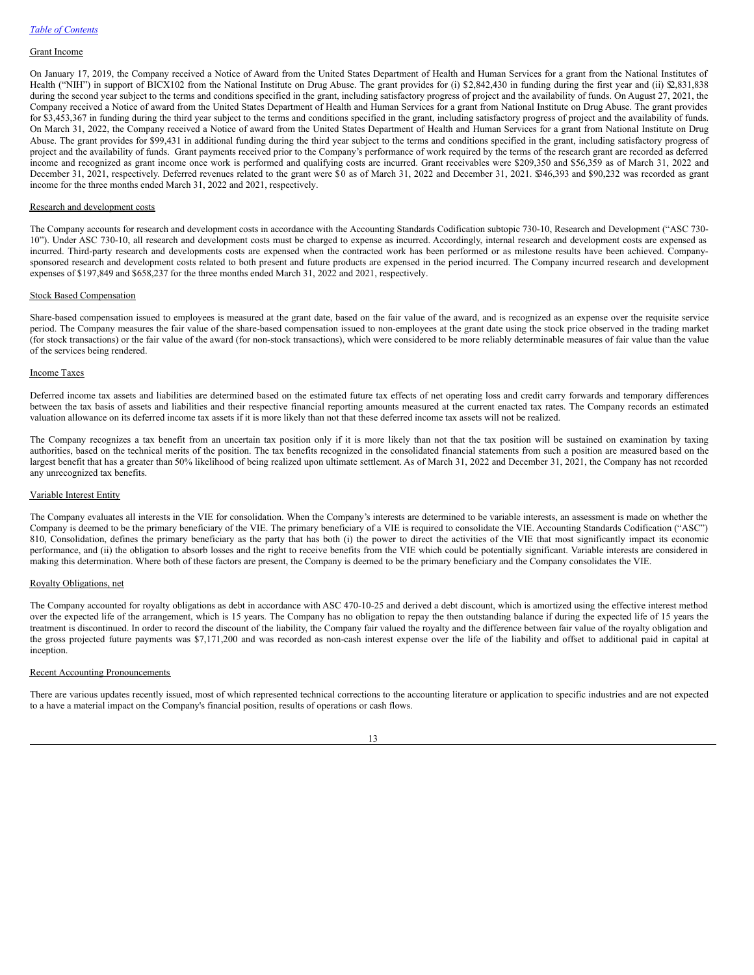#### Grant Income

On January 17, 2019, the Company received a Notice of Award from the United States Department of Health and Human Services for a grant from the National Institutes of Health ("NIH") in support of BICX102 from the National Institute on Drug Abuse. The grant provides for (i) \$2,842,430 in funding during the first year and (ii) \$2,831,838 during the second year subject to the terms and conditions specified in the grant, including satisfactory progress of project and the availability of funds. On August 27, 2021, the Company received a Notice of award from the United States Department of Health and Human Services for a grant from National Institute on Drug Abuse. The grant provides for \$3,453,367 in funding during the third year subject to the terms and conditions specified in the grant, including satisfactory progress of project and the availability of funds. On March 31, 2022, the Company received a Notice of award from the United States Department of Health and Human Services for a grant from National Institute on Drug Abuse. The grant provides for \$99,431 in additional funding during the third year subject to the terms and conditions specified in the grant, including satisfactory progress of project and the availability of funds. Grant payments received prior to the Company's performance of work required by the terms of the research grant are recorded as deferred income and recognized as grant income once work is performed and qualifying costs are incurred. Grant receivables were \$209,350 and \$56,359 as of March 31, 2022 and December 31, 2021, respectively. Deferred revenues related to the grant were \$0 as of March 31, 2022 and December 31, 2021. \$346,393 and \$90,232 was recorded as grant income for the three months ended March 31, 2022 and 2021, respectively.

#### Research and development costs

The Company accounts for research and development costs in accordance with the Accounting Standards Codification subtopic 730-10, Research and Development ("ASC 730- 10"). Under ASC 730-10, all research and development costs must be charged to expense as incurred. Accordingly, internal research and development costs are expensed as incurred. Third-party research and developments costs are expensed when the contracted work has been performed or as milestone results have been achieved. Companysponsored research and development costs related to both present and future products are expensed in the period incurred. The Company incurred research and development expenses of \$197,849 and \$658,237 for the three months ended March 31, 2022 and 2021, respectively.

## Stock Based Compensation

Share-based compensation issued to employees is measured at the grant date, based on the fair value of the award, and is recognized as an expense over the requisite service period. The Company measures the fair value of the share-based compensation issued to non-employees at the grant date using the stock price observed in the trading market (for stock transactions) or the fair value of the award (for non-stock transactions), which were considered to be more reliably determinable measures of fair value than the value of the services being rendered.

## Income Taxes

Deferred income tax assets and liabilities are determined based on the estimated future tax effects of net operating loss and credit carry forwards and temporary differences between the tax basis of assets and liabilities and their respective financial reporting amounts measured at the current enacted tax rates. The Company records an estimated valuation allowance on its deferred income tax assets if it is more likely than not that these deferred income tax assets will not be realized.

The Company recognizes a tax benefit from an uncertain tax position only if it is more likely than not that the tax position will be sustained on examination by taxing authorities, based on the technical merits of the position. The tax benefits recognized in the consolidated financial statements from such a position are measured based on the largest benefit that has a greater than 50% likelihood of being realized upon ultimate settlement. As of March 31, 2022 and December 31, 2021, the Company has not recorded any unrecognized tax benefits.

#### Variable Interest Entity

The Company evaluates all interests in the VIE for consolidation. When the Company's interests are determined to be variable interests, an assessment is made on whether the Company is deemed to be the primary beneficiary of the VIE. The primary beneficiary of a VIE is required to consolidate the VIE. Accounting Standards Codification ("ASC") 810, Consolidation, defines the primary beneficiary as the party that has both (i) the power to direct the activities of the VIE that most significantly impact its economic performance, and (ii) the obligation to absorb losses and the right to receive benefits from the VIE which could be potentially significant. Variable interests are considered in making this determination. Where both of these factors are present, the Company is deemed to be the primary beneficiary and the Company consolidates the VIE.

#### Royalty Obligations, net

The Company accounted for royalty obligations as debt in accordance with ASC 470-10-25 and derived a debt discount, which is amortized using the effective interest method over the expected life of the arrangement, which is 15 years. The Company has no obligation to repay the then outstanding balance if during the expected life of 15 years the treatment is discontinued. In order to record the discount of the liability, the Company fair valued the royalty and the difference between fair value of the royalty obligation and the gross projected future payments was \$7,171,200 and was recorded as non-cash interest expense over the life of the liability and offset to additional paid in capital at inception.

#### Recent Accounting Pronouncements

There are various updates recently issued, most of which represented technical corrections to the accounting literature or application to specific industries and are not expected to a have a material impact on the Company's financial position, results of operations or cash flows.

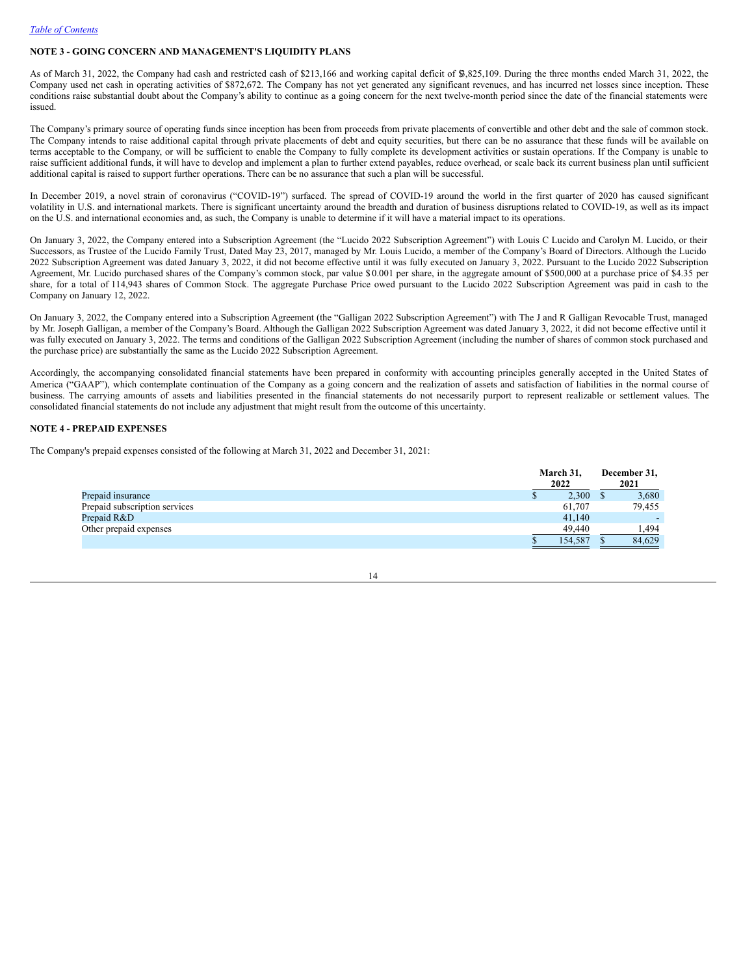## **NOTE 3 - GOING CONCERN AND MANAGEMENT'S LIQUIDITY PLANS**

As of March 31, 2022, the Company had cash and restricted cash of \$213,166 and working capital deficit of \$3,825,109. During the three months ended March 31, 2022, the Company used net cash in operating activities of \$872,672. The Company has not yet generated any significant revenues, and has incurred net losses since inception. These conditions raise substantial doubt about the Company's ability to continue as a going concern for the next twelve-month period since the date of the financial statements were issued.

The Company's primary source of operating funds since inception has been from proceeds from private placements of convertible and other debt and the sale of common stock. The Company intends to raise additional capital through private placements of debt and equity securities, but there can be no assurance that these funds will be available on terms acceptable to the Company, or will be sufficient to enable the Company to fully complete its development activities or sustain operations. If the Company is unable to raise sufficient additional funds, it will have to develop and implement a plan to further extend payables, reduce overhead, or scale back its current business plan until sufficient additional capital is raised to support further operations. There can be no assurance that such a plan will be successful.

In December 2019, a novel strain of coronavirus ("COVID-19") surfaced. The spread of COVID-19 around the world in the first quarter of 2020 has caused significant volatility in U.S. and international markets. There is significant uncertainty around the breadth and duration of business disruptions related to COVID-19, as well as its impact on the U.S. and international economies and, as such, the Company is unable to determine if it will have a material impact to its operations.

On January 3, 2022, the Company entered into a Subscription Agreement (the "Lucido 2022 Subscription Agreement") with Louis C Lucido and Carolyn M. Lucido, or their Successors, as Trustee of the Lucido Family Trust, Dated May 23, 2017, managed by Mr. Louis Lucido, a member of the Company's Board of Directors. Although the Lucido 2022 Subscription Agreement was dated January 3, 2022, it did not become effective until it was fully executed on January 3, 2022. Pursuant to the Lucido 2022 Subscription Agreement, Mr. Lucido purchased shares of the Company's common stock, par value \$ 0.001 per share, in the aggregate amount of \$500,000 at a purchase price of \$4.35 per share, for a total of 114,943 shares of Common Stock. The aggregate Purchase Price owed pursuant to the Lucido 2022 Subscription Agreement was paid in cash to the Company on January 12, 2022.

On January 3, 2022, the Company entered into a Subscription Agreement (the "Galligan 2022 Subscription Agreement") with The J and R Galligan Revocable Trust, managed by Mr. Joseph Galligan, a member of the Company's Board. Although the Galligan 2022 Subscription Agreement was dated January 3, 2022, it did not become effective until it was fully executed on January 3, 2022. The terms and conditions of the Galligan 2022 Subscription Agreement (including the number of shares of common stock purchased and the purchase price) are substantially the same as the Lucido 2022 Subscription Agreement.

Accordingly, the accompanying consolidated financial statements have been prepared in conformity with accounting principles generally accepted in the United States of America ("GAAP"), which contemplate continuation of the Company as a going concern and the realization of assets and satisfaction of liabilities in the normal course of business. The carrying amounts of assets and liabilities presented in the financial statements do not necessarily purport to represent realizable or settlement values. The consolidated financial statements do not include any adjustment that might result from the outcome of this uncertainty.

## **NOTE 4 - PREPAID EXPENSES**

The Company's prepaid expenses consisted of the following at March 31, 2022 and December 31, 2021:

|                               | March 31.<br>2022 |  | December 31,<br>2021 |
|-------------------------------|-------------------|--|----------------------|
| Prepaid insurance             | 2.300             |  | 3,680                |
| Prepaid subscription services | 61.707            |  | 79,455               |
| Prepaid R&D                   | 41.140            |  |                      |
| Other prepaid expenses        | 49.440            |  | .494                 |
|                               | 154,587           |  | 84,629               |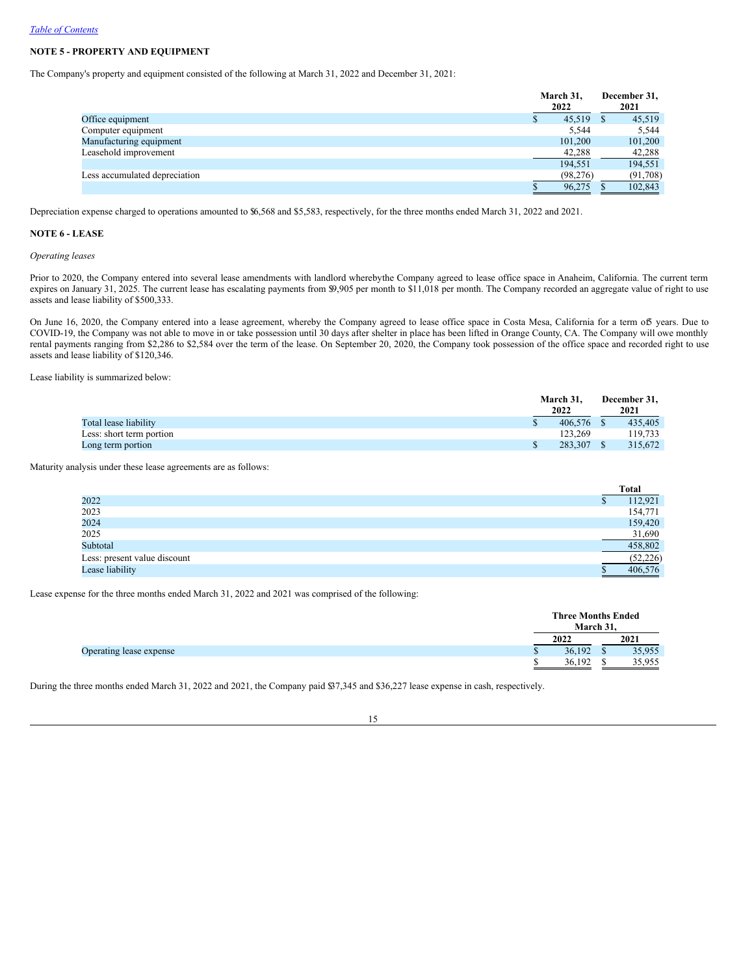## **NOTE 5 - PROPERTY AND EQUIPMENT**

The Company's property and equipment consisted of the following at March 31, 2022 and December 31, 2021:

|                               | March 31. |  | December 31, |  |
|-------------------------------|-----------|--|--------------|--|
|                               | 2022      |  | 2021         |  |
| Office equipment              | 45,519    |  | 45,519       |  |
| Computer equipment            | 5.544     |  | 5.544        |  |
| Manufacturing equipment       | 101.200   |  | 101,200      |  |
| Leasehold improvement         | 42,288    |  | 42,288       |  |
|                               | 194.551   |  | 194,551      |  |
| Less accumulated depreciation | (98, 276) |  | (91,708)     |  |
|                               | 96,275    |  | 102.843      |  |

Depreciation expense charged to operations amounted to \$6,568 and \$5,583, respectively, for the three months ended March 31, 2022 and 2021.

#### **NOTE 6 - LEASE**

*Operating leases*

Prior to 2020, the Company entered into several lease amendments with landlord wherebythe Company agreed to lease office space in Anaheim, California. The current term expires on January 31, 2025. The current lease has escalating payments from \$9,905 per month to \$11,018 per month. The Company recorded an aggregate value of right to use assets and lease liability of \$500,333.

On June 16, 2020, the Company entered into a lease agreement, whereby the Company agreed to lease office space in Costa Mesa, California for a term of5 years. Due to COVID-19, the Company was not able to move in or take possession until 30 days after shelter in place has been lifted in Orange County, CA. The Company will owe monthly rental payments ranging from \$2,286 to \$2,584 over the term of the lease. On September 20, 2020, the Company took possession of the office space and recorded right to use assets and lease liability of \$120,346.

Lease liability is summarized below:

|                          | March 31.<br>2022 | December 31,<br>2021 |  |
|--------------------------|-------------------|----------------------|--|
| Total lease liability    | 406,576           | 435,405              |  |
| Less: short term portion | 123.269           | 119.733              |  |
| Long term portion        | 283,307           | 315.672              |  |

Maturity analysis under these lease agreements are as follows:

|                              | <b>Total</b> |
|------------------------------|--------------|
| 2022                         | 112,921      |
| 2023                         | 154,771      |
| 2024                         | 159,420      |
| 2025                         | 31,690       |
| Subtotal                     | 458,802      |
| Less: present value discount | (52, 226)    |
| Lease liability              | 406,576      |

Lease expense for the three months ended March 31, 2022 and 2021 was comprised of the following:

|                         | <b>Three Months Ended</b><br>March 31. |  |        |  |
|-------------------------|----------------------------------------|--|--------|--|
|                         | 2022                                   |  | 2021   |  |
| Operating lease expense | 36.192                                 |  | 35,955 |  |
|                         | 36.192                                 |  | 35,955 |  |

During the three months ended March 31, 2022 and 2021, the Company paid \$37,345 and \$36,227 lease expense in cash, respectively.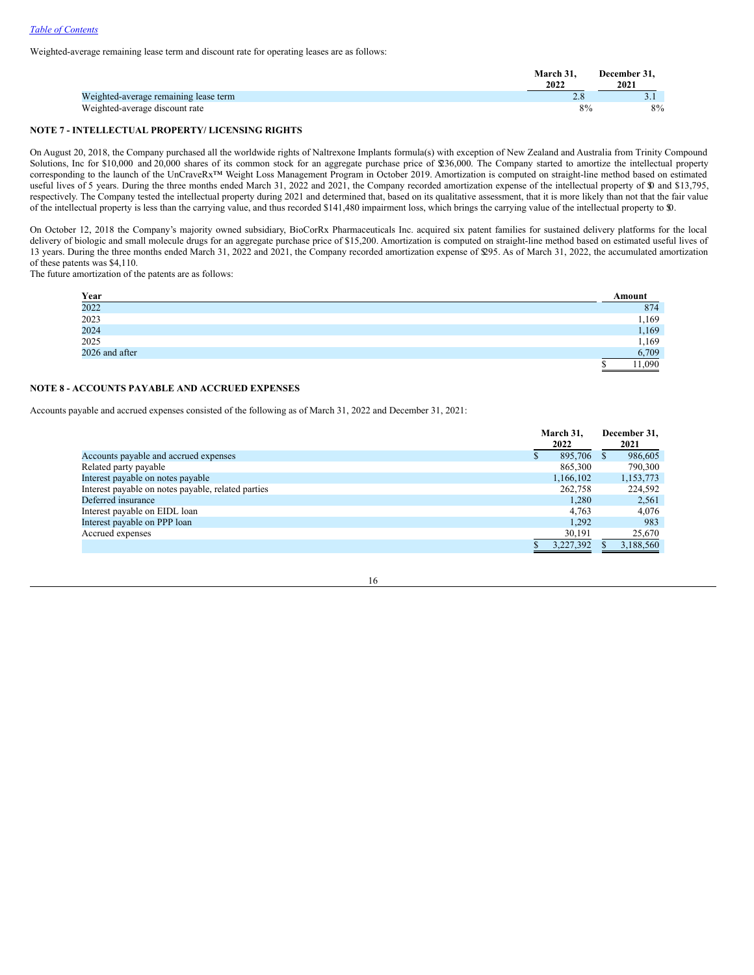Weighted-average remaining lease term and discount rate for operating leases are as follows:

|                                       | March 31.<br>2022 | December 31.<br>2021 |
|---------------------------------------|-------------------|----------------------|
| Weighted-average remaining lease term |                   | .                    |
| Weighted-average discount rate        | 8%                | $8\%$                |

## **NOTE 7 - INTELLECTUAL PROPERTY/ LICENSING RIGHTS**

On August 20, 2018, the Company purchased all the worldwide rights of Naltrexone Implants formula(s) with exception of New Zealand and Australia from Trinity Compound Solutions, Inc for \$10,000 and 20,000 shares of its common stock for an aggregate purchase price of \$236,000. The Company started to amortize the intellectual property corresponding to the launch of the UnCraveRx™ Weight Loss Management Program in October 2019. Amortization is computed on straight-line method based on estimated useful lives of 5 years. During the three months ended March 31, 2022 and 2021, the Company recorded amortization expense of the intellectual property of \$0 and \$13,795, respectively. The Company tested the intellectual property during 2021 and determined that, based on its qualitative assessment, that it is more likely than not that the fair value of the intellectual property is less than the carrying value, and thus recorded \$141,480 impairment loss, which brings the carrying value of the intellectual property to \$0.

On October 12, 2018 the Company's majority owned subsidiary, BioCorRx Pharmaceuticals Inc. acquired six patent families for sustained delivery platforms for the local delivery of biologic and small molecule drugs for an aggregate purchase price of \$15,200. Amortization is computed on straight-line method based on estimated useful lives of 13 years. During the three months ended March 31, 2022 and 2021, the Company recorded amortization expense of \$295. As of March 31, 2022, the accumulated amortization of these patents was \$4,110.

The future amortization of the patents are as follows:

| Year           | Amount |
|----------------|--------|
| 2022           | 874    |
| 2023           | 1,169  |
| 2024           | 1,169  |
| 2025           | 1,169  |
| 2026 and after | 6,709  |
|                | 1.090  |

## **NOTE 8 - ACCOUNTS PAYABLE AND ACCRUED EXPENSES**

Accounts payable and accrued expenses consisted of the following as of March 31, 2022 and December 31, 2021:

|                                                    |   | March 31.<br>2022 | December 31,<br>2021 |
|----------------------------------------------------|---|-------------------|----------------------|
| Accounts payable and accrued expenses              | S | 895,706           | 986,605              |
| Related party payable                              |   | 865,300           | 790,300              |
| Interest payable on notes payable                  |   | 1,166,102         | 1,153,773            |
| Interest payable on notes payable, related parties |   | 262,758           | 224,592              |
| Deferred insurance                                 |   | 1.280             | 2.561                |
| Interest payable on EIDL loan                      |   | 4.763             | 4,076                |
| Interest payable on PPP loan                       |   | 1.292             | 983                  |
| Accrued expenses                                   |   | 30,191            | 25,670               |
|                                                    |   | 3,227,392         | 3,188,560            |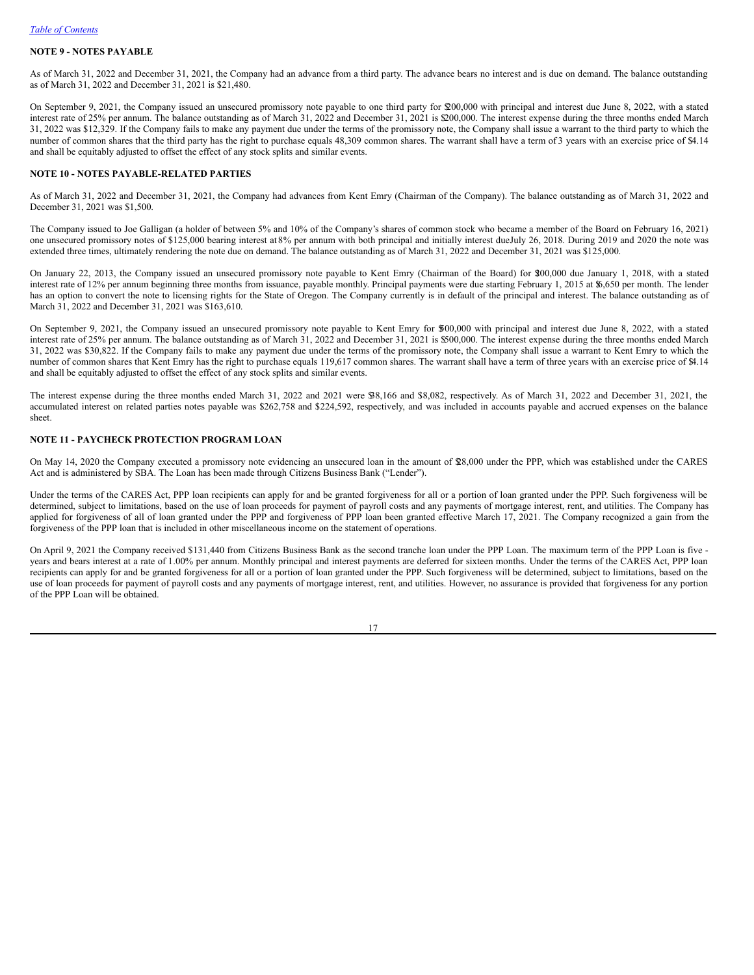## **NOTE 9 - NOTES PAYABLE**

As of March 31, 2022 and December 31, 2021, the Company had an advance from a third party. The advance bears no interest and is due on demand. The balance outstanding as of March 31, 2022 and December 31, 2021 is \$21,480.

On September 9, 2021, the Company issued an unsecured promissory note payable to one third party for \$200,000 with principal and interest due June 8, 2022, with a stated interest rate of 25% per annum. The balance outstanding as of March 31, 2022 and December 31, 2021 is \$200,000. The interest expense during the three months ended March 31, 2022 was \$12,329. If the Company fails to make any payment due under the terms of the promissory note, the Company shall issue a warrant to the third party to which the number of common shares that the third party has the right to purchase equals 48,309 common shares. The warrant shall have a term of 3 years with an exercise price of \$4.14 and shall be equitably adjusted to offset the effect of any stock splits and similar events.

## **NOTE 10 - NOTES PAYABLE-RELATED PARTIES**

As of March 31, 2022 and December 31, 2021, the Company had advances from Kent Emry (Chairman of the Company). The balance outstanding as of March 31, 2022 and December 31, 2021 was \$1,500.

The Company issued to Joe Galligan (a holder of between 5% and 10% of the Company's shares of common stock who became a member of the Board on February 16, 2021) one unsecured promissory notes of \$125,000 bearing interest at 8% per annum with both principal and initially interest dueJuly 26, 2018. During 2019 and 2020 the note was extended three times, ultimately rendering the note due on demand. The balance outstanding as of March 31, 2022 and December 31, 2021 was \$125,000.

On January 22, 2013, the Company issued an unsecured promissory note payable to Kent Emry (Chairman of the Board) for \$200,000 due January 1, 2018, with a stated interest rate of 12% per annum beginning three months from issuance, payable monthly. Principal payments were due starting February 1, 2015 at \$6,650 per month. The lender has an option to convert the note to licensing rights for the State of Oregon. The Company currently is in default of the principal and interest. The balance outstanding as of March 31, 2022 and December 31, 2021 was \$163,610.

On September 9, 2021, the Company issued an unsecured promissory note payable to Kent Emry for \$500,000 with principal and interest due June 8, 2022, with a stated interest rate of 25% per annum. The balance outstanding as of March 31, 2022 and December 31, 2021 is \$500,000. The interest expense during the three months ended March 31, 2022 was \$30,822. If the Company fails to make any payment due under the terms of the promissory note, the Company shall issue a warrant to Kent Emry to which the number of common shares that Kent Emry has the right to purchase equals 119,617 common shares. The warrant shall have a term of three years with an exercise price of \$4.14 and shall be equitably adjusted to offset the effect of any stock splits and similar events.

The interest expense during the three months ended March 31, 2022 and 2021 were \$38,166 and \$8,082, respectively. As of March 31, 2022 and December 31, 2021, the accumulated interest on related parties notes payable was \$262,758 and \$224,592, respectively, and was included in accounts payable and accrued expenses on the balance sheet.

## **NOTE 11 - PAYCHECK PROTECTION PROGRAM LOAN**

On May 14, 2020 the Company executed a promissory note evidencing an unsecured loan in the amount of \$28,000 under the PPP, which was established under the CARES Act and is administered by SBA. The Loan has been made through Citizens Business Bank ("Lender").

Under the terms of the CARES Act, PPP loan recipients can apply for and be granted forgiveness for all or a portion of loan granted under the PPP. Such forgiveness will be determined, subject to limitations, based on the use of loan proceeds for payment of payroll costs and any payments of mortgage interest, rent, and utilities. The Company has applied for forgiveness of all of loan granted under the PPP and forgiveness of PPP loan been granted effective March 17, 2021. The Company recognized a gain from the forgiveness of the PPP loan that is included in other miscellaneous income on the statement of operations.

On April 9, 2021 the Company received \$131,440 from Citizens Business Bank as the second tranche loan under the PPP Loan. The maximum term of the PPP Loan is five years and bears interest at a rate of 1.00% per annum. Monthly principal and interest payments are deferred for sixteen months. Under the terms of the CARES Act, PPP loan recipients can apply for and be granted forgiveness for all or a portion of loan granted under the PPP. Such forgiveness will be determined, subject to limitations, based on the use of loan proceeds for payment of payroll costs and any payments of mortgage interest, rent, and utilities. However, no assurance is provided that forgiveness for any portion of the PPP Loan will be obtained.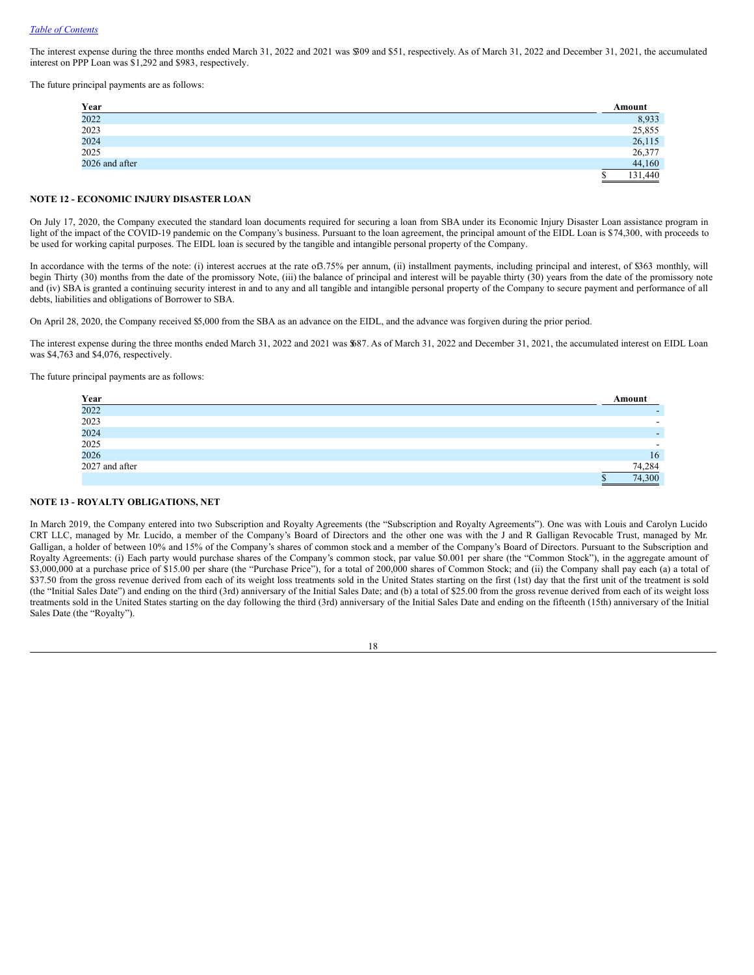The interest expense during the three months ended March 31, 2022 and 2021 was \$309 and \$51, respectively. As of March 31, 2022 and December 31, 2021, the accumulated interest on PPP Loan was \$1,292 and \$983, respectively.

The future principal payments are as follows:

|                     | Amount  |
|---------------------|---------|
| $\frac{Year}{2022}$ | 8,933   |
| 2023                | 25,855  |
| 2024                | 26,115  |
| 2025                | 26,377  |
| 2026 and after      | 44,160  |
|                     | 131,440 |

## **NOTE 12 - ECONOMIC INJURY DISASTER LOAN**

On July 17, 2020, the Company executed the standard loan documents required for securing a loan from SBA under its Economic Injury Disaster Loan assistance program in light of the impact of the COVID-19 pandemic on the Company's business. Pursuant to the loan agreement, the principal amount of the EIDL Loan is \$74,300, with proceeds to be used for working capital purposes. The EIDL loan is secured by the tangible and intangible personal property of the Company.

In accordance with the terms of the note: (i) interest accrues at the rate of 3.75% per annum, (ii) installment payments, including principal and interest, of \$363 monthly, will begin Thirty (30) months from the date of the promissory Note, (iii) the balance of principal and interest will be payable thirty (30) years from the date of the promissory note and (iv) SBA is granted a continuing security interest in and to any and all tangible and intangible personal property of the Company to secure payment and performance of all debts, liabilities and obligations of Borrower to SBA.

On April 28, 2020, the Company received \$5,000 from the SBA as an advance on the EIDL, and the advance was forgiven during the prior period.

The interest expense during the three months ended March 31, 2022 and 2021 was \$687. As of March 31, 2022 and December 31, 2021, the accumulated interest on EIDL Loan was \$4,763 and \$4,076, respectively.

The future principal payments are as follows:



## **NOTE 13 - ROYALTY OBLIGATIONS, NET**

In March 2019, the Company entered into two Subscription and Royalty Agreements (the "Subscription and Royalty Agreements"). One was with Louis and Carolyn Lucido CRT LLC, managed by Mr. Lucido, a member of the Company's Board of Directors and the other one was with the J and R Galligan Revocable Trust, managed by Mr. Galligan, a holder of between 10% and 15% of the Company's shares of common stock and a member of the Company's Board of Directors. Pursuant to the Subscription and Royalty Agreements: (i) Each party would purchase shares of the Company's common stock, par value \$0.001 per share (the "Common Stock"), in the aggregate amount of \$3,000,000 at a purchase price of \$15.00 per share (the "Purchase Price"), for a total of 200,000 shares of Common Stock; and (ii) the Company shall pay each (a) a total of \$37.50 from the gross revenue derived from each of its weight loss treatments sold in the United States starting on the first (1st) day that the first unit of the treatment is sold (the "Initial Sales Date") and ending on the third (3rd) anniversary of the Initial Sales Date; and (b) a total of \$25.00 from the gross revenue derived from each of its weight loss treatments sold in the United States starting on the day following the third (3rd) anniversary of the Initial Sales Date and ending on the fifteenth (15th) anniversary of the Initial Sales Date (the "Royalty").

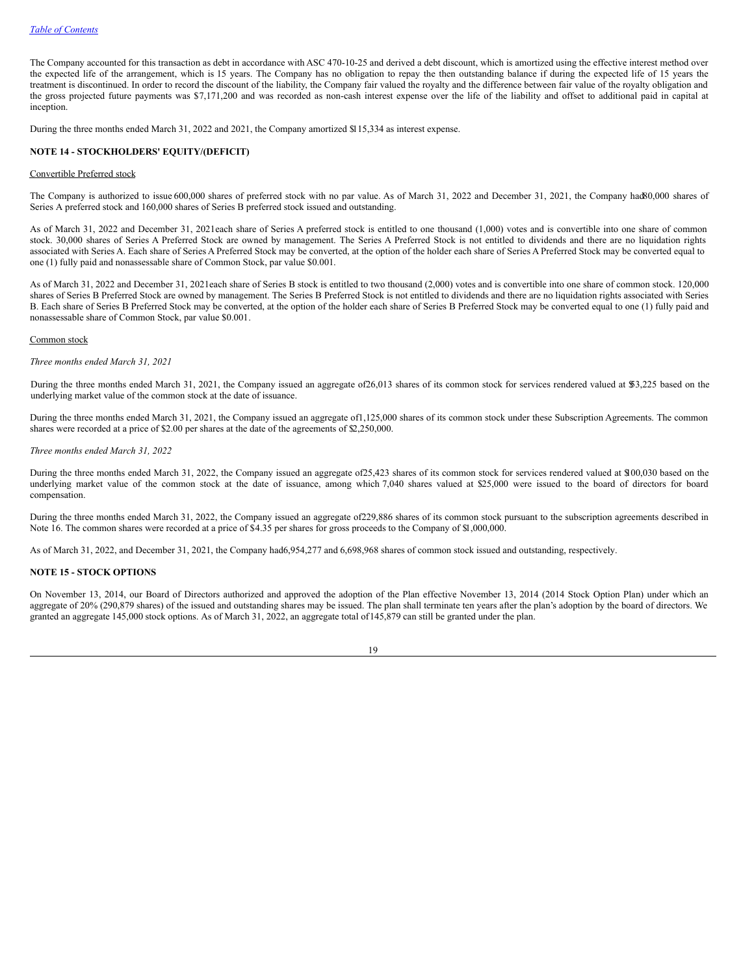The Company accounted for this transaction as debt in accordance with ASC 470-10-25 and derived a debt discount, which is amortized using the effective interest method over the expected life of the arrangement, which is 15 years. The Company has no obligation to repay the then outstanding balance if during the expected life of 15 years the treatment is discontinued. In order to record the discount of the liability, the Company fair valued the royalty and the difference between fair value of the royalty obligation and the gross projected future payments was \$7,171,200 and was recorded as non-cash interest expense over the life of the liability and offset to additional paid in capital at inception.

During the three months ended March 31, 2022 and 2021, the Company amortized \$115,334 as interest expense.

## **NOTE 14 - STOCKHOLDERS' EQUITY/(DEFICIT)**

#### Convertible Preferred stock

The Company is authorized to issue 600,000 shares of preferred stock with no par value. As of March 31, 2022 and December 31, 2021, the Company had80,000 shares of Series A preferred stock and 160,000 shares of Series B preferred stock issued and outstanding.

As of March 31, 2022 and December 31, 2021each share of Series A preferred stock is entitled to one thousand (1,000) votes and is convertible into one share of common stock. 30,000 shares of Series A Preferred Stock are owned by management. The Series A Preferred Stock is not entitled to dividends and there are no liquidation rights associated with Series A. Each share of Series A Preferred Stock may be converted, at the option of the holder each share of Series A Preferred Stock may be converted equal to one (1) fully paid and nonassessable share of Common Stock, par value \$0.001.

As of March 31, 2022 and December 31, 2021each share of Series B stock is entitled to two thousand (2,000) votes and is convertible into one share of common stock. 120,000 shares of Series B Preferred Stock are owned by management. The Series B Preferred Stock is not entitled to dividends and there are no liquidation rights associated with Series B. Each share of Series B Preferred Stock may be converted, at the option of the holder each share of Series B Preferred Stock may be converted equal to one (1) fully paid and nonassessable share of Common Stock, par value \$0.001.

#### Common stock

#### *Three months ended March 31, 2021*

During the three months ended March 31, 2021, the Company issued an aggregate of26,013 shares of its common stock for services rendered valued at \$53,225 based on the underlying market value of the common stock at the date of issuance.

During the three months ended March 31, 2021, the Company issued an aggregate of1,125,000 shares of its common stock under these Subscription Agreements. The common shares were recorded at a price of \$2.00 per shares at the date of the agreements of \$2,250,000.

#### *Three months ended March 31, 2022*

During the three months ended March 31, 2022, the Company issued an aggregate of25,423 shares of its common stock for services rendered valued at \$100,030 based on the underlying market value of the common stock at the date of issuance, among which 7,040 shares valued at \$25,000 were issued to the board of directors for board compensation.

During the three months ended March 31, 2022, the Company issued an aggregate of229,886 shares of its common stock pursuant to the subscription agreements described in Note 16. The common shares were recorded at a price of \$4.35 per shares for gross proceeds to the Company of \$1,000,000.

As of March 31, 2022, and December 31, 2021, the Company had6,954,277 and 6,698,968 shares of common stock issued and outstanding, respectively.

## **NOTE 15 - STOCK OPTIONS**

On November 13, 2014, our Board of Directors authorized and approved the adoption of the Plan effective November 13, 2014 (2014 Stock Option Plan) under which an aggregate of 20% (290,879 shares) of the issued and outstanding shares may be issued. The plan shall terminate ten years after the plan's adoption by the board of directors. We granted an aggregate 145,000 stock options. As of March 31, 2022, an aggregate total of145,879 can still be granted under the plan.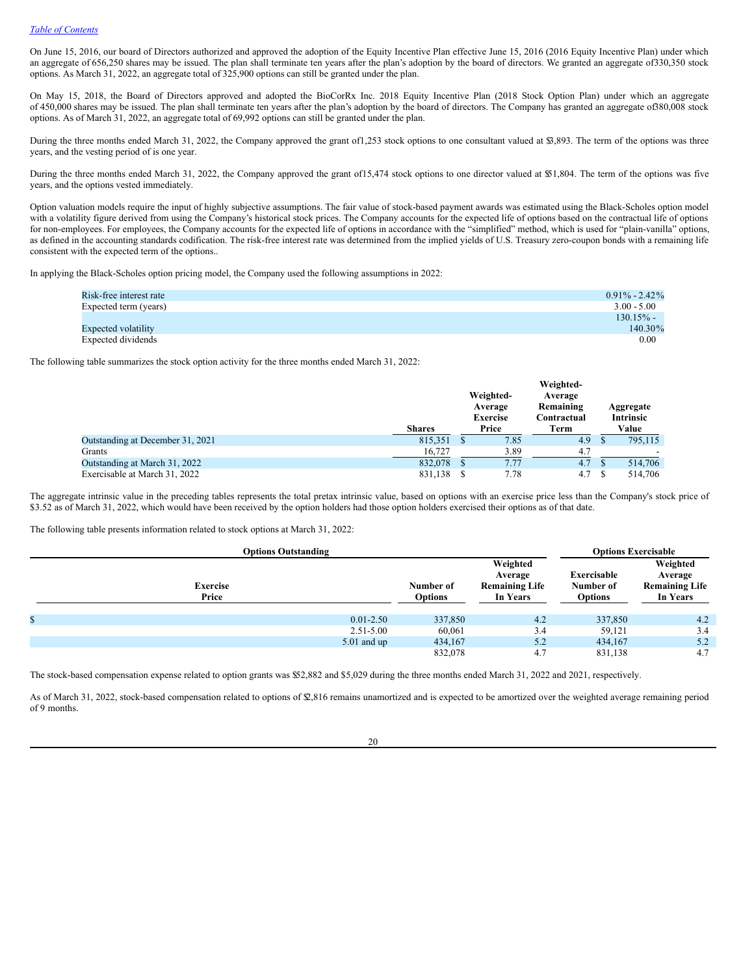On June 15, 2016, our board of Directors authorized and approved the adoption of the Equity Incentive Plan effective June 15, 2016 (2016 Equity Incentive Plan) under which an aggregate of 656,250 shares may be issued. The plan shall terminate ten years after the plan's adoption by the board of directors. We granted an aggregate of330,350 stock options. As March 31, 2022, an aggregate total of 325,900 options can still be granted under the plan.

On May 15, 2018, the Board of Directors approved and adopted the BioCorRx Inc. 2018 Equity Incentive Plan (2018 Stock Option Plan) under which an aggregate of 450,000 shares may be issued. The plan shall terminate ten years after the plan's adoption by the board of directors. The Company has granted an aggregate of380,008 stock options. As of March 31, 2022, an aggregate total of 69,992 options can still be granted under the plan.

During the three months ended March 31, 2022, the Company approved the grant of1,253 stock options to one consultant valued at \$3,893. The term of the options was three years, and the vesting period of is one year.

During the three months ended March 31, 2022, the Company approved the grant of15,474 stock options to one director valued at \$51,804. The term of the options was five years, and the options vested immediately.

Option valuation models require the input of highly subjective assumptions. The fair value of stock-based payment awards was estimated using the Black-Scholes option model with a volatility figure derived from using the Company's historical stock prices. The Company accounts for the expected life of options based on the contractual life of options for non-employees. For employees, the Company accounts for the expected life of options in accordance with the "simplified" method, which is used for "plain-vanilla" options, as defined in the accounting standards codification. The risk-free interest rate was determined from the implied yields of U.S. Treasury zero-coupon bonds with a remaining life consistent with the expected term of the options..

In applying the Black-Scholes option pricing model, the Company used the following assumptions in 2022:

| Risk-free interest rate | $0.91\% - 2.42\%$ |
|-------------------------|-------------------|
| Expected term (years)   | $3.00 - 5.00$     |
|                         | $130.15\%$ -      |
| Expected volatility     | 140.30%           |
| Expected dividends      | 0.00              |

The following table summarizes the stock option activity for the three months ended March 31, 2022:

|                                  |               | Weighted-<br>Weighted-<br>Average<br>Remaining<br>Average<br><b>Exercise</b><br>Contractual |      | Aggregate<br>Intrinsic |
|----------------------------------|---------------|---------------------------------------------------------------------------------------------|------|------------------------|
|                                  | <b>Shares</b> | Price                                                                                       | Term | Value                  |
| Outstanding at December 31, 2021 | 815.351       | 7.85                                                                                        | 4.9  | 795,115                |
| Grants                           | 16.727        | 3.89                                                                                        | 4.7  |                        |
| Outstanding at March 31, 2022    | 832,078       | 7.77                                                                                        | 4.7  | 514,706                |
| Exercisable at March 31, 2022    | 831.138       | 7.78                                                                                        | 4.7  | 514.706                |

The aggregate intrinsic value in the preceding tables represents the total pretax intrinsic value, based on options with an exercise price less than the Company's stock price of \$3.52 as of March 31, 2022, which would have been received by the option holders had those option holders exercised their options as of that date.

The following table presents information related to stock options at March 31, 2022:

| <b>Options Outstanding</b> |                          |               | <b>Options Exercisable</b>  |                                                          |                                            |                                                          |
|----------------------------|--------------------------|---------------|-----------------------------|----------------------------------------------------------|--------------------------------------------|----------------------------------------------------------|
|                            | <b>Exercise</b><br>Price |               | Number of<br><b>Options</b> | Weighted<br>Average<br><b>Remaining Life</b><br>In Years | Exercisable<br>Number of<br><b>Options</b> | Weighted<br>Average<br><b>Remaining Life</b><br>In Years |
|                            |                          | $0.01 - 2.50$ | 337,850                     | 4.2                                                      | 337,850                                    | 4.2                                                      |
|                            |                          | $2.51 - 5.00$ | 60,061                      | 3.4                                                      | 59,121                                     | 3.4                                                      |
|                            |                          | $5.01$ and up | 434,167                     | 5.2                                                      | 434,167                                    | 5.2                                                      |
|                            |                          |               | 832,078                     | 4.7                                                      | 831,138                                    | 4.7                                                      |

The stock-based compensation expense related to option grants was \$52,882 and \$5,029 during the three months ended March 31, 2022 and 2021, respectively.

As of March 31, 2022, stock-based compensation related to options of \$2,816 remains unamortized and is expected to be amortized over the weighted average remaining period of 9 months.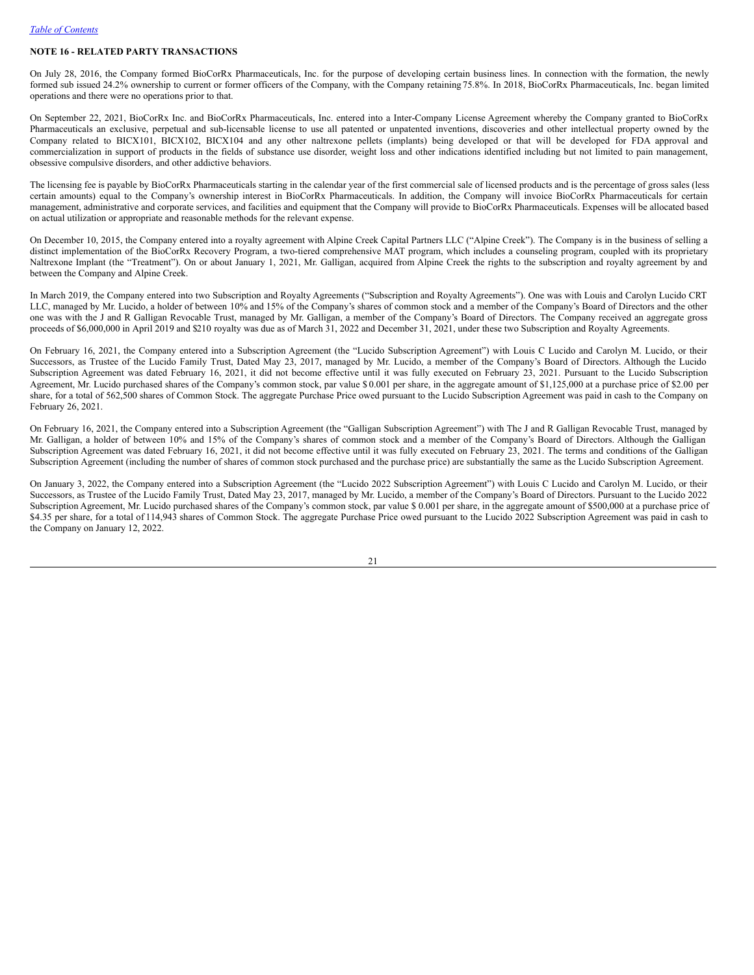## **NOTE 16 - RELATED PARTY TRANSACTIONS**

On July 28, 2016, the Company formed BioCorRx Pharmaceuticals, Inc. for the purpose of developing certain business lines. In connection with the formation, the newly formed sub issued 24.2% ownership to current or former officers of the Company, with the Company retaining 75.8%. In 2018, BioCorRx Pharmaceuticals, Inc. began limited operations and there were no operations prior to that.

On September 22, 2021, BioCorRx Inc. and BioCorRx Pharmaceuticals, Inc. entered into a Inter-Company License Agreement whereby the Company granted to BioCorRx Pharmaceuticals an exclusive, perpetual and sub-licensable license to use all patented or unpatented inventions, discoveries and other intellectual property owned by the Company related to BICX101, BICX102, BICX104 and any other naltrexone pellets (implants) being developed or that will be developed for FDA approval and commercialization in support of products in the fields of substance use disorder, weight loss and other indications identified including but not limited to pain management, obsessive compulsive disorders, and other addictive behaviors.

The licensing fee is payable by BioCorRx Pharmaceuticals starting in the calendar year of the first commercial sale of licensed products and is the percentage of gross sales (less certain amounts) equal to the Company's ownership interest in BioCorRx Pharmaceuticals. In addition, the Company will invoice BioCorRx Pharmaceuticals for certain management, administrative and corporate services, and facilities and equipment that the Company will provide to BioCorRx Pharmaceuticals. Expenses will be allocated based on actual utilization or appropriate and reasonable methods for the relevant expense.

On December 10, 2015, the Company entered into a royalty agreement with Alpine Creek Capital Partners LLC ("Alpine Creek"). The Company is in the business of selling a distinct implementation of the BioCorRx Recovery Program, a two-tiered comprehensive MAT program, which includes a counseling program, coupled with its proprietary Naltrexone Implant (the "Treatment"). On or about January 1, 2021, Mr. Galligan, acquired from Alpine Creek the rights to the subscription and royalty agreement by and between the Company and Alpine Creek.

In March 2019, the Company entered into two Subscription and Royalty Agreements ("Subscription and Royalty Agreements"). One was with Louis and Carolyn Lucido CRT LLC, managed by Mr. Lucido, a holder of between 10% and 15% of the Company's shares of common stock and a member of the Company's Board of Directors and the other one was with the J and R Galligan Revocable Trust, managed by Mr. Galligan, a member of the Company's Board of Directors. The Company received an aggregate gross proceeds of \$6,000,000 in April 2019 and \$210 royalty was due as of March 31, 2022 and December 31, 2021, under these two Subscription and Royalty Agreements.

On February 16, 2021, the Company entered into a Subscription Agreement (the "Lucido Subscription Agreement") with Louis C Lucido and Carolyn M. Lucido, or their Successors, as Trustee of the Lucido Family Trust, Dated May 23, 2017, managed by Mr. Lucido, a member of the Company's Board of Directors. Although the Lucido Subscription Agreement was dated February 16, 2021, it did not become effective until it was fully executed on February 23, 2021. Pursuant to the Lucido Subscription Agreement, Mr. Lucido purchased shares of the Company's common stock, par value \$ 0.001 per share, in the aggregate amount of \$1,125,000 at a purchase price of \$2.00 per share, for a total of 562,500 shares of Common Stock. The aggregate Purchase Price owed pursuant to the Lucido Subscription Agreement was paid in cash to the Company on February 26, 2021.

On February 16, 2021, the Company entered into a Subscription Agreement (the "Galligan Subscription Agreement") with The J and R Galligan Revocable Trust, managed by Mr. Galligan, a holder of between 10% and 15% of the Company's shares of common stock and a member of the Company's Board of Directors. Although the Galligan Subscription Agreement was dated February 16, 2021, it did not become effective until it was fully executed on February 23, 2021. The terms and conditions of the Galligan Subscription Agreement (including the number of shares of common stock purchased and the purchase price) are substantially the same as the Lucido Subscription Agreement.

On January 3, 2022, the Company entered into a Subscription Agreement (the "Lucido 2022 Subscription Agreement") with Louis C Lucido and Carolyn M. Lucido, or their Successors, as Trustee of the Lucido Family Trust, Dated May 23, 2017, managed by Mr. Lucido, a member of the Company's Board of Directors. Pursuant to the Lucido 2022 Subscription Agreement, Mr. Lucido purchased shares of the Company's common stock, par value \$ 0.001 per share, in the aggregate amount of \$500,000 at a purchase price of \$4.35 per share, for a total of 114,943 shares of Common Stock. The aggregate Purchase Price owed pursuant to the Lucido 2022 Subscription Agreement was paid in cash to the Company on January 12, 2022.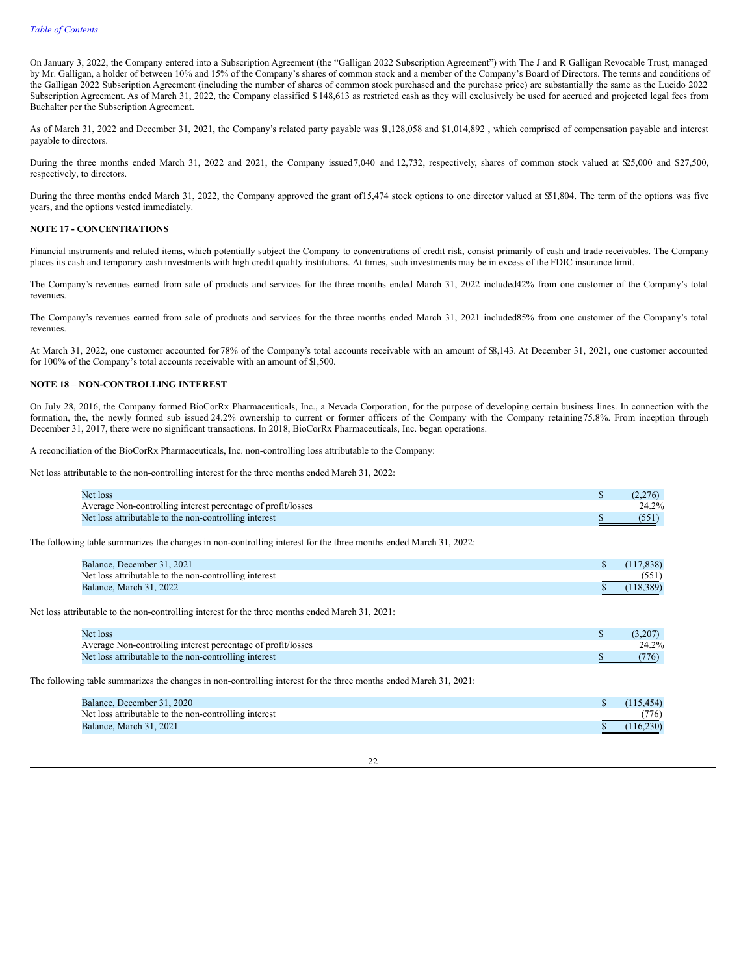On January 3, 2022, the Company entered into a Subscription Agreement (the "Galligan 2022 Subscription Agreement") with The J and R Galligan Revocable Trust, managed by Mr. Galligan, a holder of between 10% and 15% of the Company's shares of common stock and a member of the Company's Board of Directors. The terms and conditions of the Galligan 2022 Subscription Agreement (including the number of shares of common stock purchased and the purchase price) are substantially the same as the Lucido 2022 Subscription Agreement. As of March 31, 2022, the Company classified \$ 148,613 as restricted cash as they will exclusively be used for accrued and projected legal fees from Buchalter per the Subscription Agreement.

As of March 31, 2022 and December 31, 2021, the Company's related party payable was \$1,128,058 and \$1,014,892 , which comprised of compensation payable and interest payable to directors.

During the three months ended March 31, 2022 and 2021, the Company issued7,040 and 12,732, respectively, shares of common stock valued at \$25,000 and \$27,500, respectively, to directors.

During the three months ended March 31, 2022, the Company approved the grant of15,474 stock options to one director valued at \$51,804. The term of the options was five years, and the options vested immediately.

## **NOTE 17 - CONCENTRATIONS**

Financial instruments and related items, which potentially subject the Company to concentrations of credit risk, consist primarily of cash and trade receivables. The Company places its cash and temporary cash investments with high credit quality institutions. At times, such investments may be in excess of the FDIC insurance limit.

The Company's revenues earned from sale of products and services for the three months ended March 31, 2022 included42% from one customer of the Company's total revenues.

The Company's revenues earned from sale of products and services for the three months ended March 31, 2021 included85% from one customer of the Company's total revenues.

At March 31, 2022, one customer accounted for 78% of the Company's total accounts receivable with an amount of \$8,143. At December 31, 2021, one customer accounted for 100% of the Company's total accounts receivable with an amount of \$1,500.

## **NOTE 18 – NON-CONTROLLING INTEREST**

On July 28, 2016, the Company formed BioCorRx Pharmaceuticals, Inc., a Nevada Corporation, for the purpose of developing certain business lines. In connection with the formation, the, the newly formed sub issued 24.2% ownership to current or former officers of the Company with the Company retaining75.8%. From inception through December 31, 2017, there were no significant transactions. In 2018, BioCorRx Pharmaceuticals, Inc. began operations.

A reconciliation of the BioCorRx Pharmaceuticals, Inc. non-controlling loss attributable to the Company:

Net loss attributable to the non-controlling interest for the three months ended March 31, 2022:

| Net loss                                                     |       |
|--------------------------------------------------------------|-------|
| Average Non-controlling interest percentage of profit/losses | 24.2% |
| Net loss attributable to the non-controlling interest        |       |

The following table summarizes the changes in non-controlling interest for the three months ended March 31, 2022:

| Balance, December 31, 2021                            | (117,838) |
|-------------------------------------------------------|-----------|
| Net loss attributable to the non-controlling interest |           |
| Balance, March 31, 2022                               | (118,389) |

Net loss attributable to the non-controlling interest for the three months ended March 31, 2021:

| Net loss                                                     | (3.207 |
|--------------------------------------------------------------|--------|
| Average Non-controlling interest percentage of profit/losses | 24.2%  |
| Net loss attributable to the non-controlling interest        |        |

The following table summarizes the changes in non-controlling interest for the three months ended March 31, 2021:

| Balance. December 31, 2020                            | (115.454) |
|-------------------------------------------------------|-----------|
| Net loss attributable to the non-controlling interest | (776)     |
| Balance, March 31, 2021                               | (116,230) |

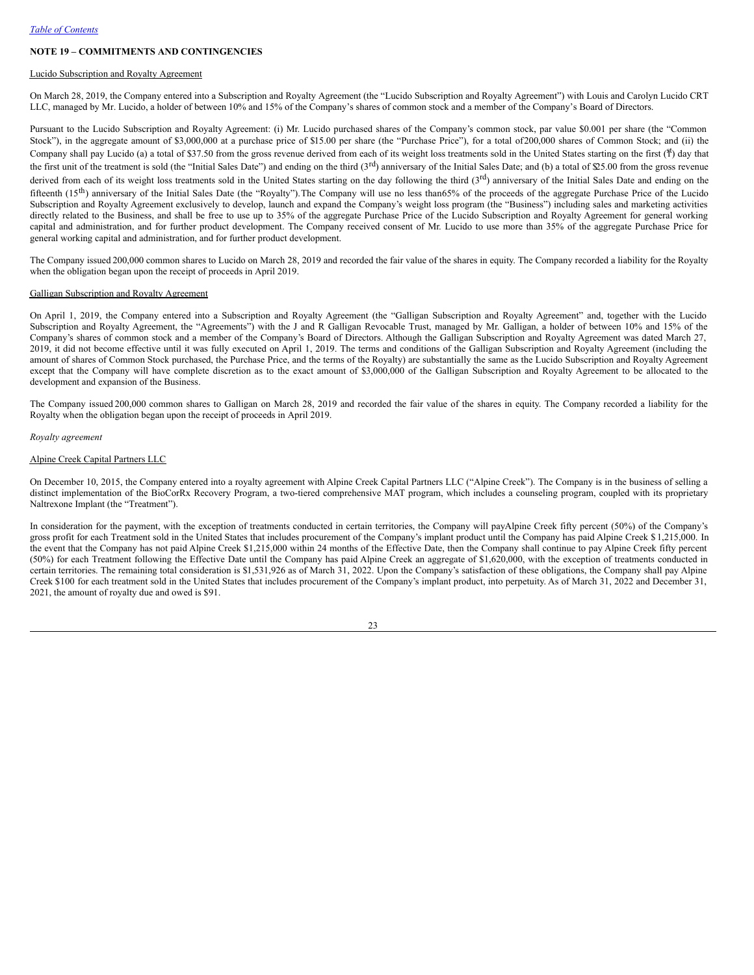## **NOTE 19 – COMMITMENTS AND CONTINGENCIES**

## Lucido Subscription and Royalty Agreement

On March 28, 2019, the Company entered into a Subscription and Royalty Agreement (the "Lucido Subscription and Royalty Agreement") with Louis and Carolyn Lucido CRT LLC, managed by Mr. Lucido, a holder of between 10% and 15% of the Company's shares of common stock and a member of the Company's Board of Directors.

Pursuant to the Lucido Subscription and Royalty Agreement: (i) Mr. Lucido purchased shares of the Company's common stock, par value \$0.001 per share (the "Common Stock"), in the aggregate amount of \$3,000,000 at a purchase price of \$15.00 per share (the "Purchase Price"), for a total of 200,000 shares of Common Stock; and (ii) the Company shall pay Lucido (a) a total of \$37.50 from the gross revenue derived from each of its weight loss treatments sold in the United States starting on the first ( $\frac{1}{3}$ ) day that the first unit of the treatment is sold (the "Initial Sales Date") and ending on the third  $(3^{rd})$  anniversary of the Initial Sales Date; and (b) a total of \$25.00 from the gross revenue derived from each of its weight loss treatments sold in the United States starting on the day following the third (3<sup>rd</sup>) anniversary of the Initial Sales Date and ending on the fifteenth (15<sup>th</sup>) anniversary of the Initial Sales Date (the "Royalty"). The Company will use no less than65% of the proceeds of the aggregate Purchase Price of the Lucido Subscription and Royalty Agreement exclusively to develop, launch and expand the Company's weight loss program (the "Business") including sales and marketing activities directly related to the Business, and shall be free to use up to 35% of the aggregate Purchase Price of the Lucido Subscription and Royalty Agreement for general working capital and administration, and for further product development. The Company received consent of Mr. Lucido to use more than 35% of the aggregate Purchase Price for general working capital and administration, and for further product development.

The Company issued 200,000 common shares to Lucido on March 28, 2019 and recorded the fair value of the shares in equity. The Company recorded a liability for the Royalty when the obligation began upon the receipt of proceeds in April 2019.

#### Galligan Subscription and Royalty Agreement

On April 1, 2019, the Company entered into a Subscription and Royalty Agreement (the "Galligan Subscription and Royalty Agreement" and, together with the Lucido Subscription and Royalty Agreement, the "Agreements") with the J and R Galligan Revocable Trust, managed by Mr. Galligan, a holder of between 10% and 15% of the Company's shares of common stock and a member of the Company's Board of Directors. Although the Galligan Subscription and Royalty Agreement was dated March 27, 2019, it did not become effective until it was fully executed on April 1, 2019. The terms and conditions of the Galligan Subscription and Royalty Agreement (including the amount of shares of Common Stock purchased, the Purchase Price, and the terms of the Royalty) are substantially the same as the Lucido Subscription and Royalty Agreement except that the Company will have complete discretion as to the exact amount of \$3,000,000 of the Galligan Subscription and Royalty Agreement to be allocated to the development and expansion of the Business.

The Company issued 200,000 common shares to Galligan on March 28, 2019 and recorded the fair value of the shares in equity. The Company recorded a liability for the Royalty when the obligation began upon the receipt of proceeds in April 2019.

#### *Royalty agreement*

## Alpine Creek Capital Partners LLC

On December 10, 2015, the Company entered into a royalty agreement with Alpine Creek Capital Partners LLC ("Alpine Creek"). The Company is in the business of selling a distinct implementation of the BioCorRx Recovery Program, a two-tiered comprehensive MAT program, which includes a counseling program, coupled with its proprietary Naltrexone Implant (the "Treatment").

In consideration for the payment, with the exception of treatments conducted in certain territories, the Company will payAlpine Creek fifty percent (50%) of the Company's gross profit for each Treatment sold in the United States that includes procurement of the Company's implant product until the Company has paid Alpine Creek \$ 1,215,000. In the event that the Company has not paid Alpine Creek \$1,215,000 within 24 months of the Effective Date, then the Company shall continue to pay Alpine Creek fifty percent (50%) for each Treatment following the Effective Date until the Company has paid Alpine Creek an aggregate of \$1,620,000, with the exception of treatments conducted in certain territories. The remaining total consideration is \$1,531,926 as of March 31, 2022. Upon the Company's satisfaction of these obligations, the Company shall pay Alpine Creek \$100 for each treatment sold in the United States that includes procurement of the Company's implant product, into perpetuity. As of March 31, 2022 and December 31, 2021, the amount of royalty due and owed is \$91.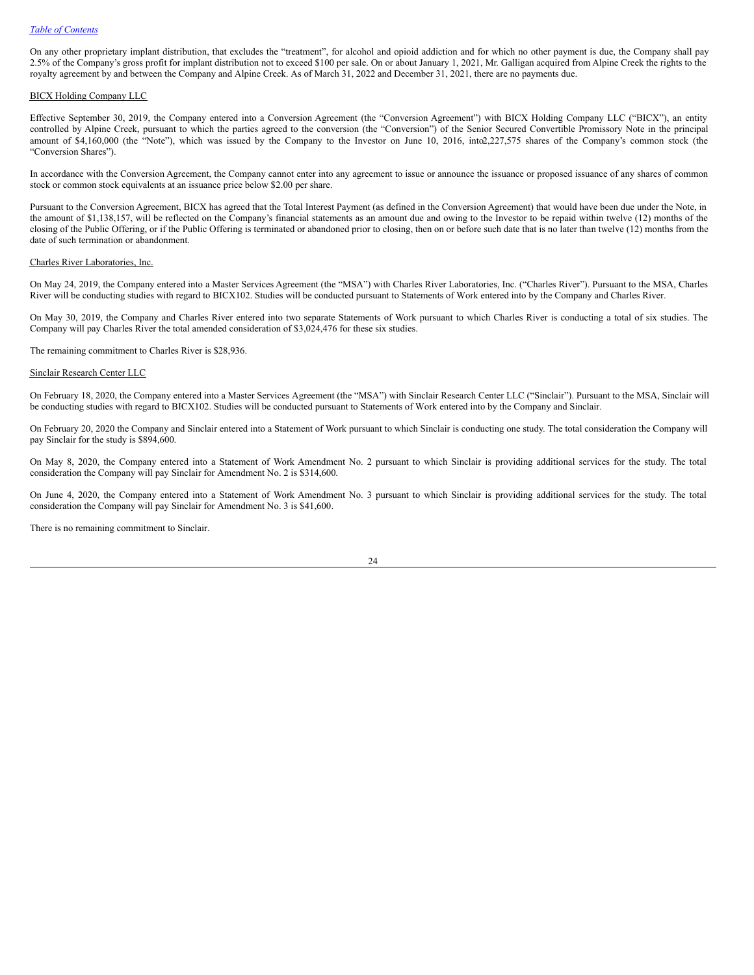#### *Table of [Contents](#page-1-0)*

On any other proprietary implant distribution, that excludes the "treatment", for alcohol and opioid addiction and for which no other payment is due, the Company shall pay 2.5% of the Company's gross profit for implant distribution not to exceed \$100 per sale. On or about January 1, 2021, Mr. Galligan acquired from Alpine Creek the rights to the royalty agreement by and between the Company and Alpine Creek. As of March 31, 2022 and December 31, 2021, there are no payments due.

#### BICX Holding Company LLC

Effective September 30, 2019, the Company entered into a Conversion Agreement (the "Conversion Agreement") with BICX Holding Company LLC ("BICX"), an entity controlled by Alpine Creek, pursuant to which the parties agreed to the conversion (the "Conversion") of the Senior Secured Convertible Promissory Note in the principal amount of \$4,160,000 (the "Note"), which was issued by the Company to the Investor on June 10, 2016, into2,227,575 shares of the Company's common stock (the "Conversion Shares").

In accordance with the Conversion Agreement, the Company cannot enter into any agreement to issue or announce the issuance or proposed issuance of any shares of common stock or common stock equivalents at an issuance price below \$2.00 per share.

Pursuant to the Conversion Agreement, BICX has agreed that the Total Interest Payment (as defined in the Conversion Agreement) that would have been due under the Note, in the amount of \$1,138,157, will be reflected on the Company's financial statements as an amount due and owing to the Investor to be repaid within twelve (12) months of the closing of the Public Offering, or if the Public Offering is terminated or abandoned prior to closing, then on or before such date that is no later than twelve (12) months from the date of such termination or abandonment.

## Charles River Laboratories, Inc.

On May 24, 2019, the Company entered into a Master Services Agreement (the "MSA") with Charles River Laboratories, Inc. ("Charles River"). Pursuant to the MSA, Charles River will be conducting studies with regard to BICX102. Studies will be conducted pursuant to Statements of Work entered into by the Company and Charles River.

On May 30, 2019, the Company and Charles River entered into two separate Statements of Work pursuant to which Charles River is conducting a total of six studies. The Company will pay Charles River the total amended consideration of \$3,024,476 for these six studies.

The remaining commitment to Charles River is \$28,936.

## Sinclair Research Center LLC

On February 18, 2020, the Company entered into a Master Services Agreement (the "MSA") with Sinclair Research Center LLC ("Sinclair"). Pursuant to the MSA, Sinclair will be conducting studies with regard to BICX102. Studies will be conducted pursuant to Statements of Work entered into by the Company and Sinclair.

On February 20, 2020 the Company and Sinclair entered into a Statement of Work pursuant to which Sinclair is conducting one study. The total consideration the Company will pay Sinclair for the study is \$894,600.

On May 8, 2020, the Company entered into a Statement of Work Amendment No. 2 pursuant to which Sinclair is providing additional services for the study. The total consideration the Company will pay Sinclair for Amendment No. 2 is \$314,600.

On June 4, 2020, the Company entered into a Statement of Work Amendment No. 3 pursuant to which Sinclair is providing additional services for the study. The total consideration the Company will pay Sinclair for Amendment No. 3 is \$41,600.

There is no remaining commitment to Sinclair.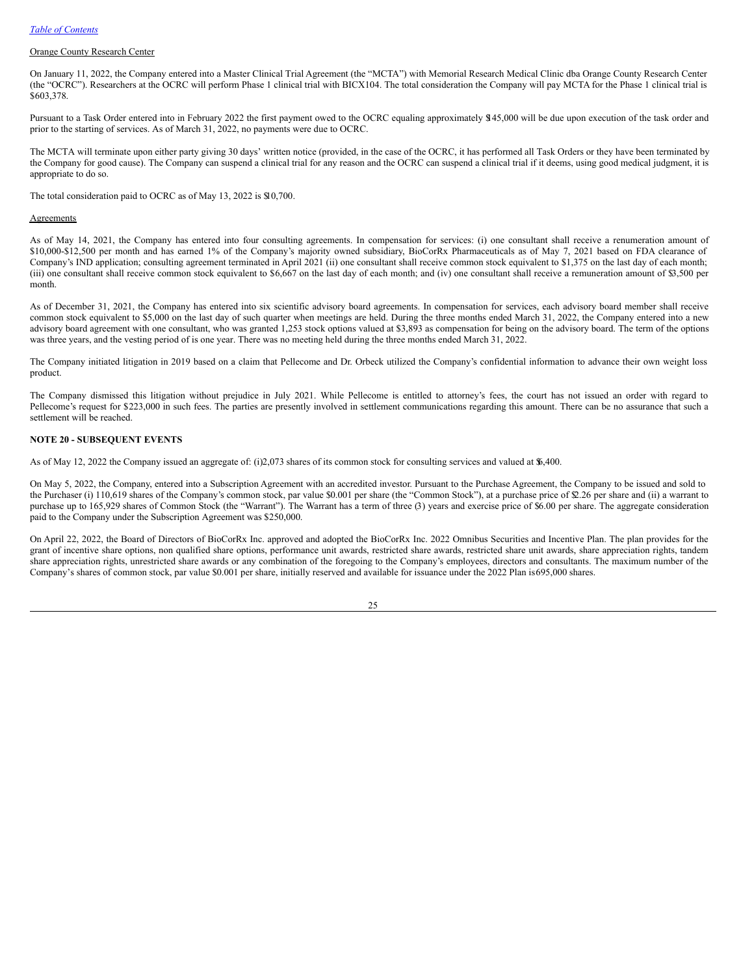## Orange County Research Center

On January 11, 2022, the Company entered into a Master Clinical Trial Agreement (the "MCTA") with Memorial Research Medical Clinic dba Orange County Research Center (the "OCRC"). Researchers at the OCRC will perform Phase 1 clinical trial with BICX104. The total consideration the Company will pay MCTA for the Phase 1 clinical trial is \$603,378.

Pursuant to a Task Order entered into in February 2022 the first payment owed to the OCRC equaling approximately \$15,000 will be due upon execution of the task order and prior to the starting of services. As of March 31, 2022, no payments were due to OCRC.

The MCTA will terminate upon either party giving 30 days' written notice (provided, in the case of the OCRC, it has performed all Task Orders or they have been terminated by the Company for good cause). The Company can suspend a clinical trial for any reason and the OCRC can suspend a clinical trial if it deems, using good medical judgment, it is appropriate to do so.

The total consideration paid to OCRC as of May 13, 2022 is \$10,700.

#### Agreements

As of May 14, 2021, the Company has entered into four consulting agreements. In compensation for services: (i) one consultant shall receive a renumeration amount of \$10,000-\$12,500 per month and has earned 1% of the Company's majority owned subsidiary, BioCorRx Pharmaceuticals as of May 7, 2021 based on FDA clearance of Company's IND application; consulting agreement terminated in April 2021 (ii) one consultant shall receive common stock equivalent to \$1,375 on the last day of each month; (iii) one consultant shall receive common stock equivalent to \$6,667 on the last day of each month; and (iv) one consultant shall receive a remuneration amount of \$3,500 per month.

As of December 31, 2021, the Company has entered into six scientific advisory board agreements. In compensation for services, each advisory board member shall receive common stock equivalent to \$5,000 on the last day of such quarter when meetings are held. During the three months ended March 31, 2022, the Company entered into a new advisory board agreement with one consultant, who was granted 1,253 stock options valued at \$3,893 as compensation for being on the advisory board. The term of the options was three years, and the vesting period of is one year. There was no meeting held during the three months ended March 31, 2022.

The Company initiated litigation in 2019 based on a claim that Pellecome and Dr. Orbeck utilized the Company's confidential information to advance their own weight loss product.

The Company dismissed this litigation without prejudice in July 2021. While Pellecome is entitled to attorney's fees, the court has not issued an order with regard to Pellecome's request for \$223,000 in such fees. The parties are presently involved in settlement communications regarding this amount. There can be no assurance that such a settlement will be reached.

## **NOTE 20 - SUBSEQUENT EVENTS**

As of May 12, 2022 the Company issued an aggregate of: (i)2,073 shares of its common stock for consulting services and valued at \$6,400.

On May 5, 2022, the Company, entered into a Subscription Agreement with an accredited investor. Pursuant to the Purchase Agreement, the Company to be issued and sold to the Purchaser (i) 110,619 shares of the Company's common stock, par value \$0.001 per share (the "Common Stock"), at a purchase price of \$2.26 per share and (ii) a warrant to purchase up to 165,929 shares of Common Stock (the "Warrant"). The Warrant has a term of three (3) years and exercise price of \$6.00 per share. The aggregate consideration paid to the Company under the Subscription Agreement was \$250,000.

On April 22, 2022, the Board of Directors of BioCorRx Inc. approved and adopted the BioCorRx Inc. 2022 Omnibus Securities and Incentive Plan. The plan provides for the grant of incentive share options, non qualified share options, performance unit awards, restricted share awards, restricted share unit awards, share appreciation rights, tandem share appreciation rights, unrestricted share awards or any combination of the foregoing to the Company's employees, directors and consultants. The maximum number of the Company's shares of common stock, par value \$0.001 per share, initially reserved and available for issuance under the 2022 Plan is695,000 shares.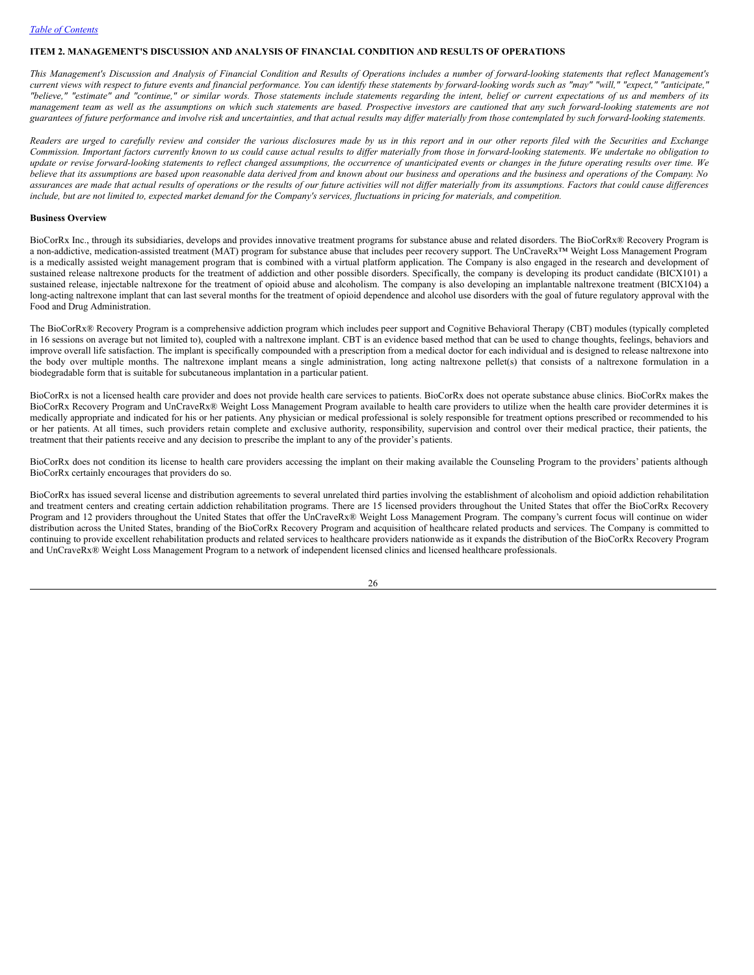#### <span id="page-25-0"></span>**ITEM 2. MANAGEMENT'S DISCUSSION AND ANALYSIS OF FINANCIAL CONDITION AND RESULTS OF OPERATIONS**

This Management's Discussion and Analysis of Financial Condition and Results of Operations includes a number of forward-looking statements that reflect Management's current views with respect to future events and financial performance. You can identify these statements by forward-looking words such as "may" "will," "expect," "anticipate," "believe," "estimate" and "continue," or similar words. Those statements include statements regarding the intent, belief or current expectations of us and members of its management team as well as the assumptions on which such statements are based. Prospective investors are cautioned that any such forward-looking statements are not guarantees of future performance and involve risk and uncertainties, and that actual results may differ materially from those contemplated by such forward-looking statements.

Readers are urged to carefully review and consider the various disclosures made by us in this report and in our other reports filed with the Securities and Exchange Commission. Important factors currently known to us could cause actual results to differ materially from those in forward-looking statements. We undertake no obligation to update or revise forward-looking statements to reflect changed assumptions, the occurrence of unanticipated events or changes in the future operating results over time. We believe that its assumptions are based upon reasonable data derived from and known about our business and operations and the business and operations of the Company. No assurances are made that actual results of operations or the results of our future activities will not differ materially from its assumptions. Factors that could cause differences include, but are not limited to, expected market demand for the Company's services, fluctuations in pricing for materials, and competition.

#### **Business Overview**

BioCorRx Inc., through its subsidiaries, develops and provides innovative treatment programs for substance abuse and related disorders. The BioCorRx® Recovery Program is a non-addictive, medication-assisted treatment (MAT) program for substance abuse that includes peer recovery support. The UnCraveRx™ Weight Loss Management Program is a medically assisted weight management program that is combined with a virtual platform application. The Company is also engaged in the research and development of sustained release naltrexone products for the treatment of addiction and other possible disorders. Specifically, the company is developing its product candidate (BICX101) a sustained release, injectable naltrexone for the treatment of opioid abuse and alcoholism. The company is also developing an implantable naltrexone treatment (BICX104) a long-acting naltrexone implant that can last several months for the treatment of opioid dependence and alcohol use disorders with the goal of future regulatory approval with the Food and Drug Administration.

The BioCorRx® Recovery Program is a comprehensive addiction program which includes peer support and Cognitive Behavioral Therapy (CBT) modules (typically completed in 16 sessions on average but not limited to), coupled with a naltrexone implant. CBT is an evidence based method that can be used to change thoughts, feelings, behaviors and improve overall life satisfaction. The implant is specifically compounded with a prescription from a medical doctor for each individual and is designed to release naltrexone into the body over multiple months. The naltrexone implant means a single administration, long acting naltrexone pellet(s) that consists of a naltrexone formulation in a biodegradable form that is suitable for subcutaneous implantation in a particular patient.

BioCorRx is not a licensed health care provider and does not provide health care services to patients. BioCorRx does not operate substance abuse clinics. BioCorRx makes the BioCorRx Recovery Program and UnCraveRx® Weight Loss Management Program available to health care providers to utilize when the health care provider determines it is medically appropriate and indicated for his or her patients. Any physician or medical professional is solely responsible for treatment options prescribed or recommended to his or her patients. At all times, such providers retain complete and exclusive authority, responsibility, supervision and control over their medical practice, their patients, the treatment that their patients receive and any decision to prescribe the implant to any of the provider's patients.

BioCorRx does not condition its license to health care providers accessing the implant on their making available the Counseling Program to the providers' patients although BioCorRx certainly encourages that providers do so.

BioCorRx has issued several license and distribution agreements to several unrelated third parties involving the establishment of alcoholism and opioid addiction rehabilitation and treatment centers and creating certain addiction rehabilitation programs. There are 15 licensed providers throughout the United States that offer the BioCorRx Recovery Program and 12 providers throughout the United States that offer the UnCraveRx® Weight Loss Management Program. The company's current focus will continue on wider distribution across the United States, branding of the BioCorRx Recovery Program and acquisition of healthcare related products and services. The Company is committed to continuing to provide excellent rehabilitation products and related services to healthcare providers nationwide as it expands the distribution of the BioCorRx Recovery Program and UnCraveRx® Weight Loss Management Program to a network of independent licensed clinics and licensed healthcare professionals.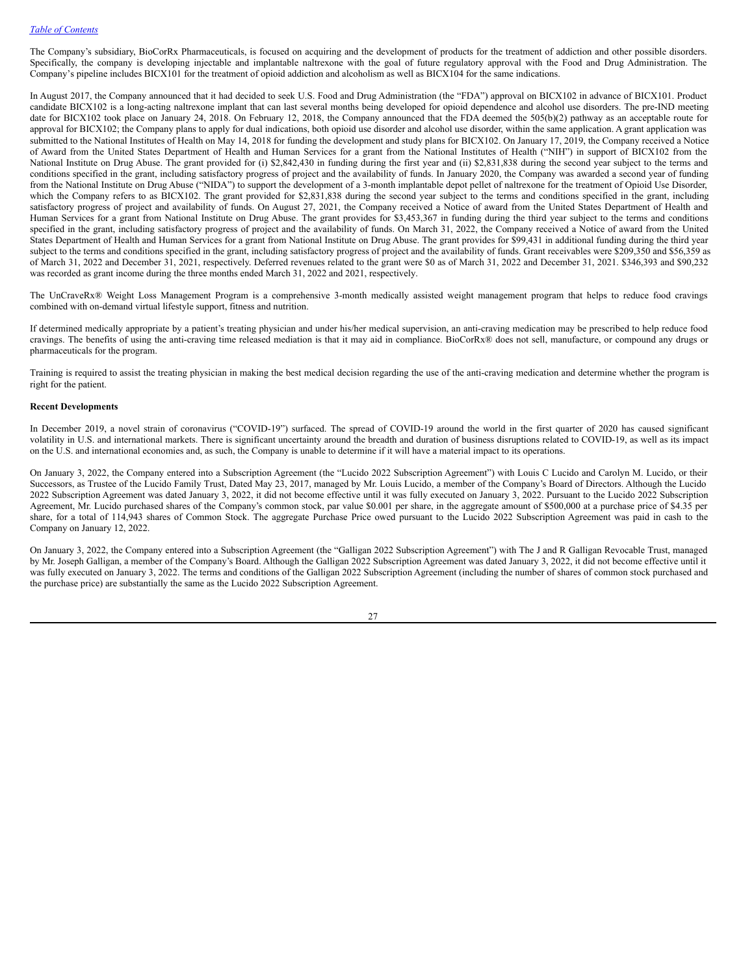The Company's subsidiary, BioCorRx Pharmaceuticals, is focused on acquiring and the development of products for the treatment of addiction and other possible disorders. Specifically, the company is developing injectable and implantable naltrexone with the goal of future regulatory approval with the Food and Drug Administration. The Company's pipeline includes BICX101 for the treatment of opioid addiction and alcoholism as well as BICX104 for the same indications.

In August 2017, the Company announced that it had decided to seek U.S. Food and Drug Administration (the "FDA") approval on BICX102 in advance of BICX101. Product candidate BICX102 is a long-acting naltrexone implant that can last several months being developed for opioid dependence and alcohol use disorders. The pre-IND meeting date for BICX102 took place on January 24, 2018. On February 12, 2018, the Company announced that the FDA deemed the 505(b)(2) pathway as an acceptable route for approval for BICX102; the Company plans to apply for dual indications, both opioid use disorder and alcohol use disorder, within the same application. A grant application was submitted to the National Institutes of Health on May 14, 2018 for funding the development and study plans for BICX102. On January 17, 2019, the Company received a Notice of Award from the United States Department of Health and Human Services for a grant from the National Institutes of Health ("NIH") in support of BICX102 from the National Institute on Drug Abuse. The grant provided for (i) \$2,842,430 in funding during the first year and (ii) \$2,831,838 during the second year subject to the terms and conditions specified in the grant, including satisfactory progress of project and the availability of funds. In January 2020, the Company was awarded a second year of funding from the National Institute on Drug Abuse ("NIDA") to support the development of a 3-month implantable depot pellet of naltrexone for the treatment of Opioid Use Disorder, which the Company refers to as BICX102. The grant provided for \$2,831,838 during the second year subject to the terms and conditions specified in the grant, including satisfactory progress of project and availability of funds. On August 27, 2021, the Company received a Notice of award from the United States Department of Health and Human Services for a grant from National Institute on Drug Abuse. The grant provides for \$3,453,367 in funding during the third year subject to the terms and conditions specified in the grant, including satisfactory progress of project and the availability of funds. On March 31, 2022, the Company received a Notice of award from the United States Department of Health and Human Services for a grant from National Institute on Drug Abuse. The grant provides for \$99,431 in additional funding during the third year subject to the terms and conditions specified in the grant, including satisfactory progress of project and the availability of funds. Grant receivables were \$209,350 and \$56,359 as of March 31, 2022 and December 31, 2021, respectively. Deferred revenues related to the grant were \$0 as of March 31, 2022 and December 31, 2021. \$346,393 and \$90,232 was recorded as grant income during the three months ended March 31, 2022 and 2021, respectively.

The UnCraveRx® Weight Loss Management Program is a comprehensive 3-month medically assisted weight management program that helps to reduce food cravings combined with on-demand virtual lifestyle support, fitness and nutrition.

If determined medically appropriate by a patient's treating physician and under his/her medical supervision, an anti-craving medication may be prescribed to help reduce food cravings. The benefits of using the anti-craving time released mediation is that it may aid in compliance. BioCorRx® does not sell, manufacture, or compound any drugs or pharmaceuticals for the program.

Training is required to assist the treating physician in making the best medical decision regarding the use of the anti-craving medication and determine whether the program is right for the patient.

## **Recent Developments**

In December 2019, a novel strain of coronavirus ("COVID-19") surfaced. The spread of COVID-19 around the world in the first quarter of 2020 has caused significant volatility in U.S. and international markets. There is significant uncertainty around the breadth and duration of business disruptions related to COVID-19, as well as its impact on the U.S. and international economies and, as such, the Company is unable to determine if it will have a material impact to its operations.

On January 3, 2022, the Company entered into a Subscription Agreement (the "Lucido 2022 Subscription Agreement") with Louis C Lucido and Carolyn M. Lucido, or their Successors, as Trustee of the Lucido Family Trust, Dated May 23, 2017, managed by Mr. Louis Lucido, a member of the Company's Board of Directors. Although the Lucido 2022 Subscription Agreement was dated January 3, 2022, it did not become effective until it was fully executed on January 3, 2022. Pursuant to the Lucido 2022 Subscription Agreement, Mr. Lucido purchased shares of the Company's common stock, par value \$0.001 per share, in the aggregate amount of \$500,000 at a purchase price of \$4.35 per share, for a total of 114,943 shares of Common Stock. The aggregate Purchase Price owed pursuant to the Lucido 2022 Subscription Agreement was paid in cash to the Company on January 12, 2022.

On January 3, 2022, the Company entered into a Subscription Agreement (the "Galligan 2022 Subscription Agreement") with The J and R Galligan Revocable Trust, managed by Mr. Joseph Galligan, a member of the Company's Board. Although the Galligan 2022 Subscription Agreement was dated January 3, 2022, it did not become effective until it was fully executed on January 3, 2022. The terms and conditions of the Galligan 2022 Subscription Agreement (including the number of shares of common stock purchased and the purchase price) are substantially the same as the Lucido 2022 Subscription Agreement.

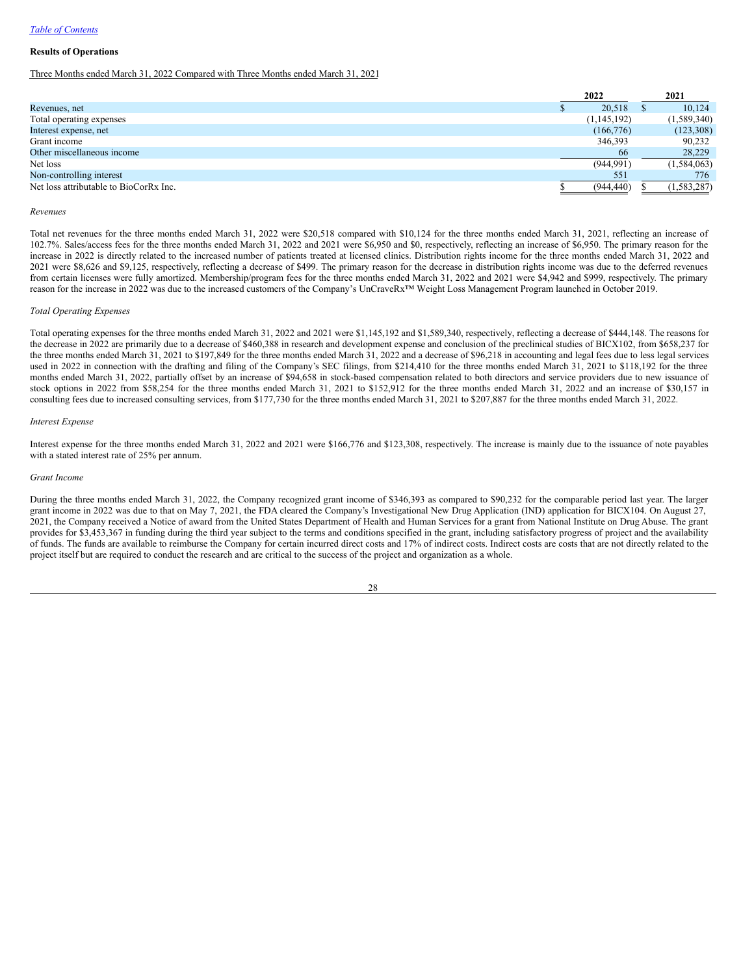#### *Table of [Contents](#page-1-0)*

#### **Results of Operations**

Three Months ended March 31, 2022 Compared with Three Months ended March 31, 2021

|                                        | 2022          | 2021          |
|----------------------------------------|---------------|---------------|
| Revenues, net                          | 20,518        | 10.124        |
| Total operating expenses               | (1, 145, 192) | (1,589,340)   |
| Interest expense, net                  | (166, 776)    | (123,308)     |
| Grant income                           | 346,393       | 90,232        |
| Other miscellaneous income             | -66           | 28,229        |
| Net loss                               | (944, 991)    | (1, 584, 063) |
| Non-controlling interest               | 551           | 776           |
| Net loss attributable to BioCorRx Inc. | (944, 440)    | (1, 583, 287) |

#### *Revenues*

Total net revenues for the three months ended March 31, 2022 were \$20,518 compared with \$10,124 for the three months ended March 31, 2021, reflecting an increase of 102.7%. Sales/access fees for the three months ended March 31, 2022 and 2021 were \$6,950 and \$0, respectively, reflecting an increase of \$6,950. The primary reason for the increase in 2022 is directly related to the increased number of patients treated at licensed clinics. Distribution rights income for the three months ended March 31, 2022 and 2021 were \$8,626 and \$9,125, respectively, reflecting a decrease of \$499. The primary reason for the decrease in distribution rights income was due to the deferred revenues from certain licenses were fully amortized. Membership/program fees for the three months ended March 31, 2022 and 2021 were \$4,942 and \$999, respectively. The primary reason for the increase in 2022 was due to the increased customers of the Company's UnCraveRx™ Weight Loss Management Program launched in October 2019.

#### *Total Operating Expenses*

Total operating expenses for the three months ended March 31, 2022 and 2021 were \$1,145,192 and \$1,589,340, respectively, reflecting a decrease of \$444,148. The reasons for the decrease in 2022 are primarily due to a decrease of \$460,388 in research and development expense and conclusion of the preclinical studies of BICX102, from \$658,237 for the three months ended March 31, 2021 to \$197,849 for the three months ended March 31, 2022 and a decrease of \$96,218 in accounting and legal fees due to less legal services used in 2022 in connection with the drafting and filing of the Company's SEC filings, from \$214,410 for the three months ended March 31, 2021 to \$118,192 for the three months ended March 31, 2022, partially offset by an increase of \$94,658 in stock-based compensation related to both directors and service providers due to new issuance of stock options in 2022 from \$58,254 for the three months ended March 31, 2021 to \$152,912 for the three months ended March 31, 2022 and an increase of \$30,157 in consulting fees due to increased consulting services, from \$177,730 for the three months ended March 31, 2021 to \$207,887 for the three months ended March 31, 2022.

#### *Interest Expense*

Interest expense for the three months ended March 31, 2022 and 2021 were \$166,776 and \$123,308, respectively. The increase is mainly due to the issuance of note payables with a stated interest rate of 25% per annum.

#### *Grant Income*

During the three months ended March 31, 2022, the Company recognized grant income of \$346,393 as compared to \$90,232 for the comparable period last year. The larger grant income in 2022 was due to that on May 7, 2021, the FDA cleared the Company's Investigational New Drug Application (IND) application for BICX104. On August 27, 2021, the Company received a Notice of award from the United States Department of Health and Human Services for a grant from National Institute on Drug Abuse. The grant provides for \$3,453,367 in funding during the third year subject to the terms and conditions specified in the grant, including satisfactory progress of project and the availability of funds. The funds are available to reimburse the Company for certain incurred direct costs and 17% of indirect costs. Indirect costs are costs that are not directly related to the project itself but are required to conduct the research and are critical to the success of the project and organization as a whole.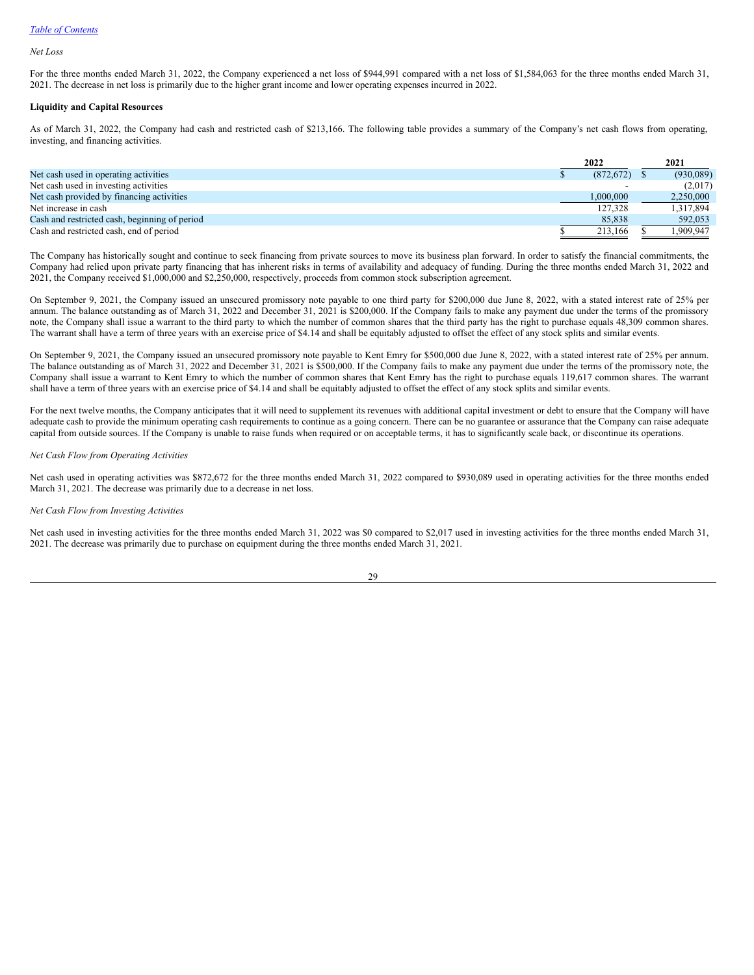*Net Loss*

For the three months ended March 31, 2022, the Company experienced a net loss of \$944,991 compared with a net loss of \$1,584,063 for the three months ended March 31, 2021. The decrease in net loss is primarily due to the higher grant income and lower operating expenses incurred in 2022.

## **Liquidity and Capital Resources**

As of March 31, 2022, the Company had cash and restricted cash of \$213,166. The following table provides a summary of the Company's net cash flows from operating, investing, and financing activities.

|                                               | 2022      | 2021      |
|-----------------------------------------------|-----------|-----------|
| Net cash used in operating activities         | (872.672) | (930,089) |
| Net cash used in investing activities         | -         | (2,017)   |
| Net cash provided by financing activities     | 0.00000   | 2,250,000 |
| Net increase in cash                          | 127.328   | 1.317.894 |
| Cash and restricted cash, beginning of period | 85.838    | 592,053   |
| Cash and restricted cash, end of period       | 213.166   | 1,909,947 |

The Company has historically sought and continue to seek financing from private sources to move its business plan forward. In order to satisfy the financial commitments, the Company had relied upon private party financing that has inherent risks in terms of availability and adequacy of funding. During the three months ended March 31, 2022 and 2021, the Company received \$1,000,000 and \$2,250,000, respectively, proceeds from common stock subscription agreement.

On September 9, 2021, the Company issued an unsecured promissory note payable to one third party for \$200,000 due June 8, 2022, with a stated interest rate of 25% per annum. The balance outstanding as of March 31, 2022 and December 31, 2021 is \$200,000. If the Company fails to make any payment due under the terms of the promissory note, the Company shall issue a warrant to the third party to which the number of common shares that the third party has the right to purchase equals 48,309 common shares. The warrant shall have a term of three years with an exercise price of \$4.14 and shall be equitably adjusted to offset the effect of any stock splits and similar events.

On September 9, 2021, the Company issued an unsecured promissory note payable to Kent Emry for \$500,000 due June 8, 2022, with a stated interest rate of 25% per annum. The balance outstanding as of March 31, 2022 and December 31, 2021 is \$500,000. If the Company fails to make any payment due under the terms of the promissory note, the Company shall issue a warrant to Kent Emry to which the number of common shares that Kent Emry has the right to purchase equals 119,617 common shares. The warrant shall have a term of three years with an exercise price of \$4.14 and shall be equitably adjusted to offset the effect of any stock splits and similar events.

For the next twelve months, the Company anticipates that it will need to supplement its revenues with additional capital investment or debt to ensure that the Company will have adequate cash to provide the minimum operating cash requirements to continue as a going concern. There can be no guarantee or assurance that the Company can raise adequate capital from outside sources. If the Company is unable to raise funds when required or on acceptable terms, it has to significantly scale back, or discontinue its operations.

## *Net Cash Flow from Operating Activities*

Net cash used in operating activities was \$872,672 for the three months ended March 31, 2022 compared to \$930,089 used in operating activities for the three months ended March 31, 2021. The decrease was primarily due to a decrease in net loss.

## *Net Cash Flow from Investing Activities*

Net cash used in investing activities for the three months ended March 31, 2022 was \$0 compared to \$2,017 used in investing activities for the three months ended March 31, 2021. The decrease was primarily due to purchase on equipment during the three months ended March 31, 2021.

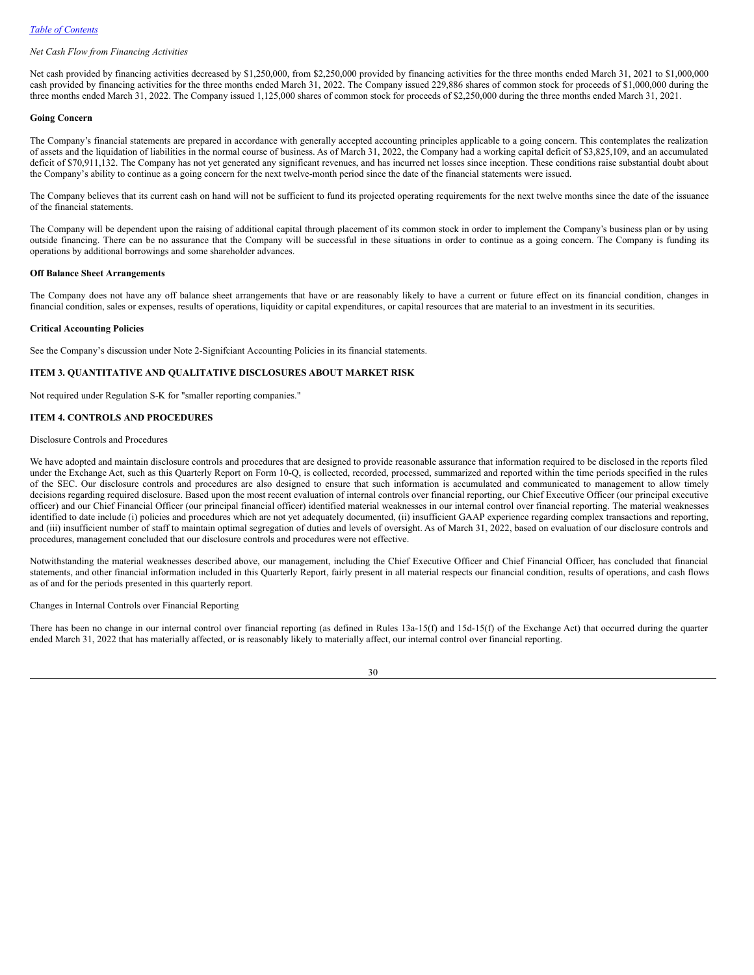## *Net Cash Flow from Financing Activities*

Net cash provided by financing activities decreased by \$1,250,000, from \$2,250,000 provided by financing activities for the three months ended March 31, 2021 to \$1,000,000 cash provided by financing activities for the three months ended March 31, 2022. The Company issued 229,886 shares of common stock for proceeds of \$1,000,000 during the three months ended March 31, 2022. The Company issued 1,125,000 shares of common stock for proceeds of \$2,250,000 during the three months ended March 31, 2021.

#### **Going Concern**

The Company's financial statements are prepared in accordance with generally accepted accounting principles applicable to a going concern. This contemplates the realization of assets and the liquidation of liabilities in the normal course of business. As of March 31, 2022, the Company had a working capital deficit of \$3,825,109, and an accumulated deficit of \$70,911,132. The Company has not yet generated any significant revenues, and has incurred net losses since inception. These conditions raise substantial doubt about the Company's ability to continue as a going concern for the next twelve-month period since the date of the financial statements were issued.

The Company believes that its current cash on hand will not be sufficient to fund its projected operating requirements for the next twelve months since the date of the issuance of the financial statements.

The Company will be dependent upon the raising of additional capital through placement of its common stock in order to implement the Company's business plan or by using outside financing. There can be no assurance that the Company will be successful in these situations in order to continue as a going concern. The Company is funding its operations by additional borrowings and some shareholder advances.

#### **Off Balance Sheet Arrangements**

The Company does not have any off balance sheet arrangements that have or are reasonably likely to have a current or future effect on its financial condition, changes in financial condition, sales or expenses, results of operations, liquidity or capital expenditures, or capital resources that are material to an investment in its securities.

#### **Critical Accounting Policies**

See the Company's discussion under Note 2-Signifciant Accounting Policies in its financial statements.

## <span id="page-29-0"></span>**ITEM 3. QUANTITATIVE AND QUALITATIVE DISCLOSURES ABOUT MARKET RISK**

Not required under Regulation S-K for "smaller reporting companies."

## <span id="page-29-1"></span>**ITEM 4. CONTROLS AND PROCEDURES**

Disclosure Controls and Procedures

We have adopted and maintain disclosure controls and procedures that are designed to provide reasonable assurance that information required to be disclosed in the reports filed under the Exchange Act, such as this Quarterly Report on Form 10-Q, is collected, recorded, processed, summarized and reported within the time periods specified in the rules of the SEC. Our disclosure controls and procedures are also designed to ensure that such information is accumulated and communicated to management to allow timely decisions regarding required disclosure. Based upon the most recent evaluation of internal controls over financial reporting, our Chief Executive Officer (our principal executive officer) and our Chief Financial Officer (our principal financial officer) identified material weaknesses in our internal control over financial reporting. The material weaknesses identified to date include (i) policies and procedures which are not yet adequately documented, (ii) insufficient GAAP experience regarding complex transactions and reporting, and (iii) insufficient number of staff to maintain optimal segregation of duties and levels of oversight. As of March 31, 2022, based on evaluation of our disclosure controls and procedures, management concluded that our disclosure controls and procedures were not effective.

Notwithstanding the material weaknesses described above, our management, including the Chief Executive Officer and Chief Financial Officer, has concluded that financial statements, and other financial information included in this Quarterly Report, fairly present in all material respects our financial condition, results of operations, and cash flows as of and for the periods presented in this quarterly report.

Changes in Internal Controls over Financial Reporting

There has been no change in our internal control over financial reporting (as defined in Rules 13a-15(f) and 15d-15(f) of the Exchange Act) that occurred during the quarter ended March 31, 2022 that has materially affected, or is reasonably likely to materially affect, our internal control over financial reporting.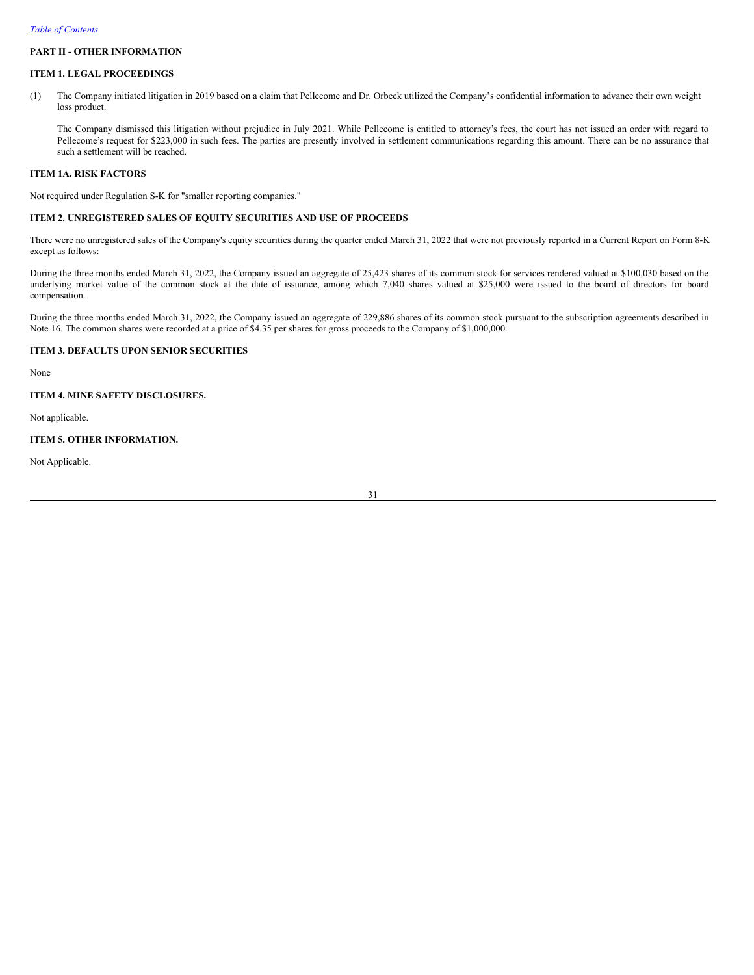## <span id="page-30-0"></span>**PART II - OTHER INFORMATION**

## <span id="page-30-1"></span>**ITEM 1. LEGAL PROCEEDINGS**

(1) The Company initiated litigation in 2019 based on a claim that Pellecome and Dr. Orbeck utilized the Company's confidential information to advance their own weight loss product.

The Company dismissed this litigation without prejudice in July 2021. While Pellecome is entitled to attorney's fees, the court has not issued an order with regard to Pellecome's request for \$223,000 in such fees. The parties are presently involved in settlement communications regarding this amount. There can be no assurance that such a settlement will be reached.

#### <span id="page-30-2"></span>**ITEM 1A. RISK FACTORS**

Not required under Regulation S-K for "smaller reporting companies."

## <span id="page-30-3"></span>**ITEM 2. UNREGISTERED SALES OF EQUITY SECURITIES AND USE OF PROCEEDS**

There were no unregistered sales of the Company's equity securities during the quarter ended March 31, 2022 that were not previously reported in a Current Report on Form 8-K except as follows:

During the three months ended March 31, 2022, the Company issued an aggregate of 25,423 shares of its common stock for services rendered valued at \$100,030 based on the underlying market value of the common stock at the date of issuance, among which 7,040 shares valued at \$25,000 were issued to the board of directors for board compensation.

During the three months ended March 31, 2022, the Company issued an aggregate of 229,886 shares of its common stock pursuant to the subscription agreements described in Note 16. The common shares were recorded at a price of \$4.35 per shares for gross proceeds to the Company of \$1,000,000.

## <span id="page-30-4"></span>**ITEM 3. DEFAULTS UPON SENIOR SECURITIES**

None

## **ITEM 4. MINE SAFETY DISCLOSURES.**

Not applicable.

## <span id="page-30-5"></span>**ITEM 5. OTHER INFORMATION.**

Not Applicable.

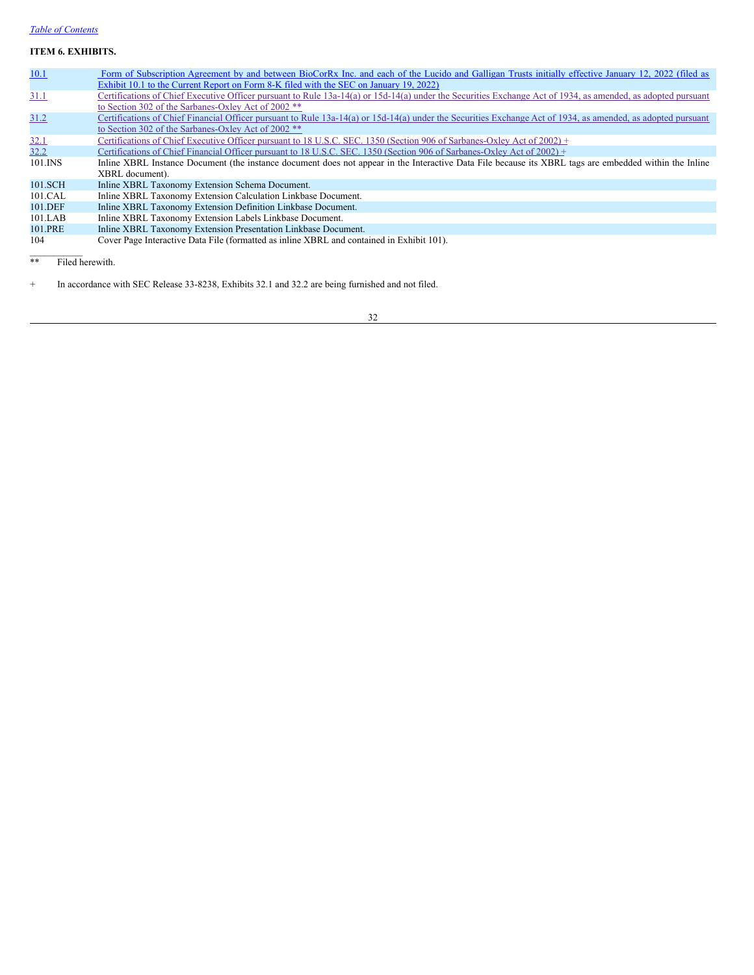## <span id="page-31-0"></span>**ITEM 6. EXHIBITS.**

| Form of Subscription Agreement by and between BioCorRx Inc. and each of the Lucido and Galligan Trusts initially effective January 12, 2022 (filed as        |
|--------------------------------------------------------------------------------------------------------------------------------------------------------------|
| Exhibit 10.1 to the Current Report on Form 8-K filed with the SEC on January 19, 2022)                                                                       |
| Certifications of Chief Executive Officer pursuant to Rule 13a-14(a) or 15d-14(a) under the Securities Exchange Act of 1934, as amended, as adopted pursuant |
| to Section 302 of the Sarbanes-Oxley Act of 2002 <sup>**</sup>                                                                                               |
| Certifications of Chief Financial Officer pursuant to Rule 13a-14(a) or 15d-14(a) under the Securities Exchange Act of 1934, as amended, as adopted pursuant |
| to Section 302 of the Sarbanes-Oxley Act of 2002 <sup>**</sup>                                                                                               |
| Certifications of Chief Executive Officer pursuant to 18 U.S.C. SEC. 1350 (Section 906 of Sarbanes-Oxley Act of 2002) +                                      |
| Certifications of Chief Financial Officer pursuant to 18 U.S.C. SEC. 1350 (Section 906 of Sarbanes-Oxley Act of 2002) +                                      |
| Inline XBRL Instance Document (the instance document does not appear in the Interactive Data File because its XBRL tags are embedded within the Inline       |
| XBRL document).                                                                                                                                              |
| Inline XBRL Taxonomy Extension Schema Document.                                                                                                              |
| Inline XBRL Taxonomy Extension Calculation Linkbase Document.                                                                                                |
| Inline XBRL Taxonomy Extension Definition Linkbase Document.                                                                                                 |
| Inline XBRL Taxonomy Extension Labels Linkbase Document.                                                                                                     |
| Inline XBRL Taxonomy Extension Presentation Linkbase Document.                                                                                               |
| Cover Page Interactive Data File (formatted as inline XBRL and contained in Exhibit 101).                                                                    |
|                                                                                                                                                              |
|                                                                                                                                                              |

\*\* Filed herewith.

+ In accordance with SEC Release 33-8238, Exhibits 32.1 and 32.2 are being furnished and not filed.

32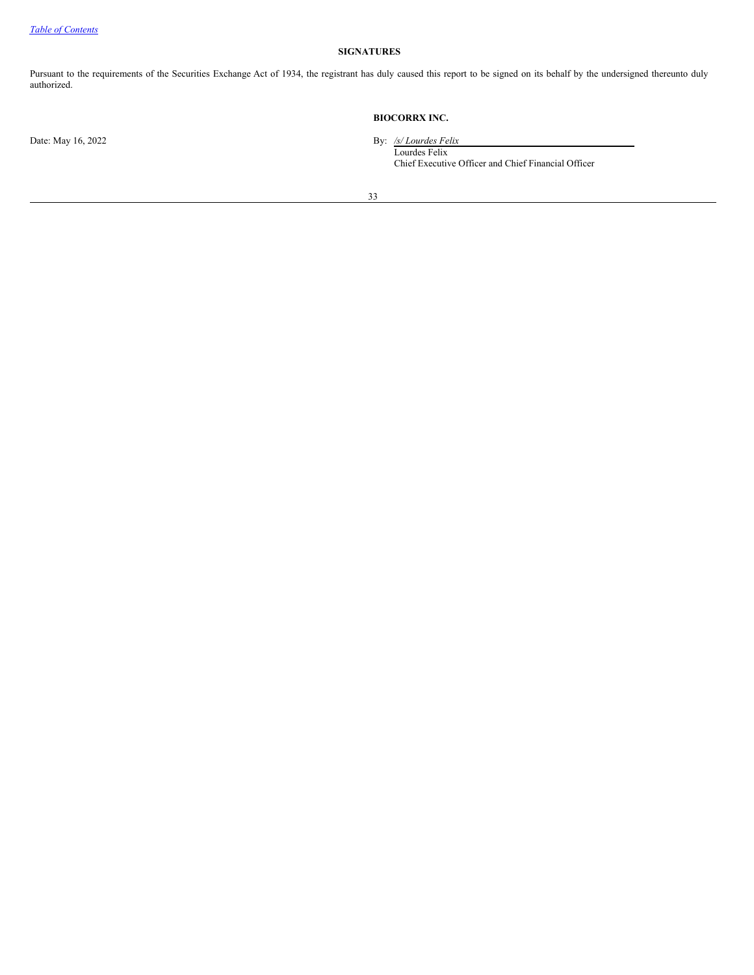## <span id="page-32-0"></span>**SIGNATURES**

Pursuant to the requirements of the Securities Exchange Act of 1934, the registrant has duly caused this report to be signed on its behalf by the undersigned thereunto duly authorized.

## **BIOCORRX INC.**

Date: May 16, 2022 By: */s/ Lourdes Felix* Lourdes Felix Chief Executive Officer and Chief Financial Officer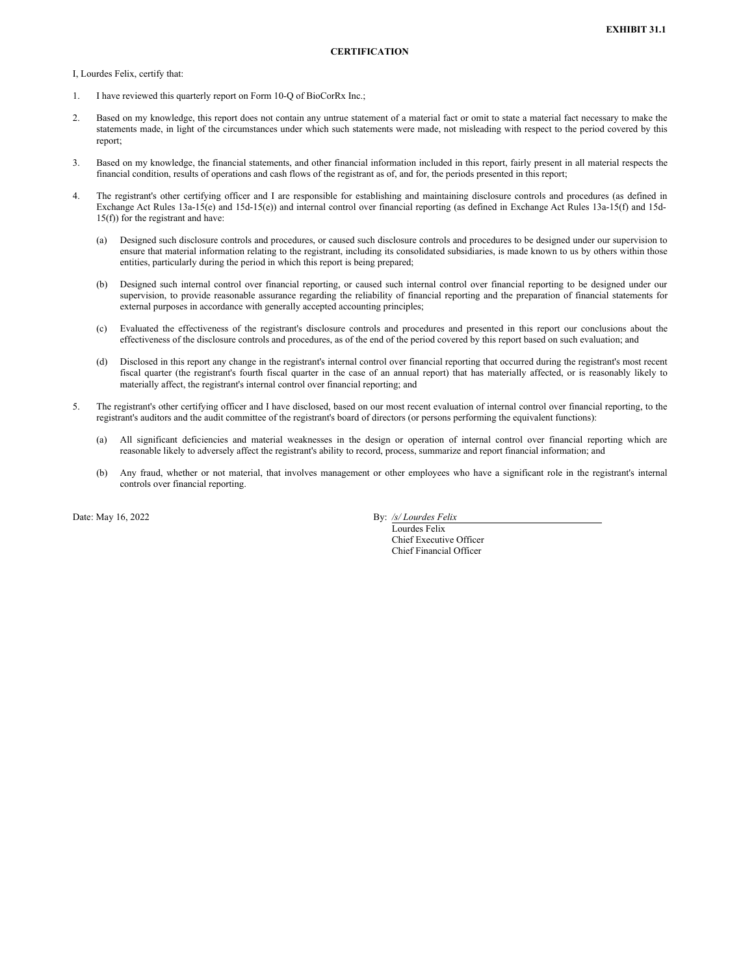<span id="page-33-0"></span>I, Lourdes Felix, certify that:

- 1. I have reviewed this quarterly report on Form 10-Q of BioCorRx Inc.;
- 2. Based on my knowledge, this report does not contain any untrue statement of a material fact or omit to state a material fact necessary to make the statements made, in light of the circumstances under which such statements were made, not misleading with respect to the period covered by this report;
- 3. Based on my knowledge, the financial statements, and other financial information included in this report, fairly present in all material respects the financial condition, results of operations and cash flows of the registrant as of, and for, the periods presented in this report;
- 4. The registrant's other certifying officer and I are responsible for establishing and maintaining disclosure controls and procedures (as defined in Exchange Act Rules 13a-15(e) and 15d-15(e)) and internal control over financial reporting (as defined in Exchange Act Rules 13a-15(f) and 15d-15(f)) for the registrant and have:
	- (a) Designed such disclosure controls and procedures, or caused such disclosure controls and procedures to be designed under our supervision to ensure that material information relating to the registrant, including its consolidated subsidiaries, is made known to us by others within those entities, particularly during the period in which this report is being prepared;
	- (b) Designed such internal control over financial reporting, or caused such internal control over financial reporting to be designed under our supervision, to provide reasonable assurance regarding the reliability of financial reporting and the preparation of financial statements for external purposes in accordance with generally accepted accounting principles;
	- (c) Evaluated the effectiveness of the registrant's disclosure controls and procedures and presented in this report our conclusions about the effectiveness of the disclosure controls and procedures, as of the end of the period covered by this report based on such evaluation; and
	- (d) Disclosed in this report any change in the registrant's internal control over financial reporting that occurred during the registrant's most recent fiscal quarter (the registrant's fourth fiscal quarter in the case of an annual report) that has materially affected, or is reasonably likely to materially affect, the registrant's internal control over financial reporting; and
- 5. The registrant's other certifying officer and I have disclosed, based on our most recent evaluation of internal control over financial reporting, to the registrant's auditors and the audit committee of the registrant's board of directors (or persons performing the equivalent functions):
	- (a) All significant deficiencies and material weaknesses in the design or operation of internal control over financial reporting which are reasonable likely to adversely affect the registrant's ability to record, process, summarize and report financial information; and
	- (b) Any fraud, whether or not material, that involves management or other employees who have a significant role in the registrant's internal controls over financial reporting.

Date: May 16, 2022 By: */s/ Lourdes Felix*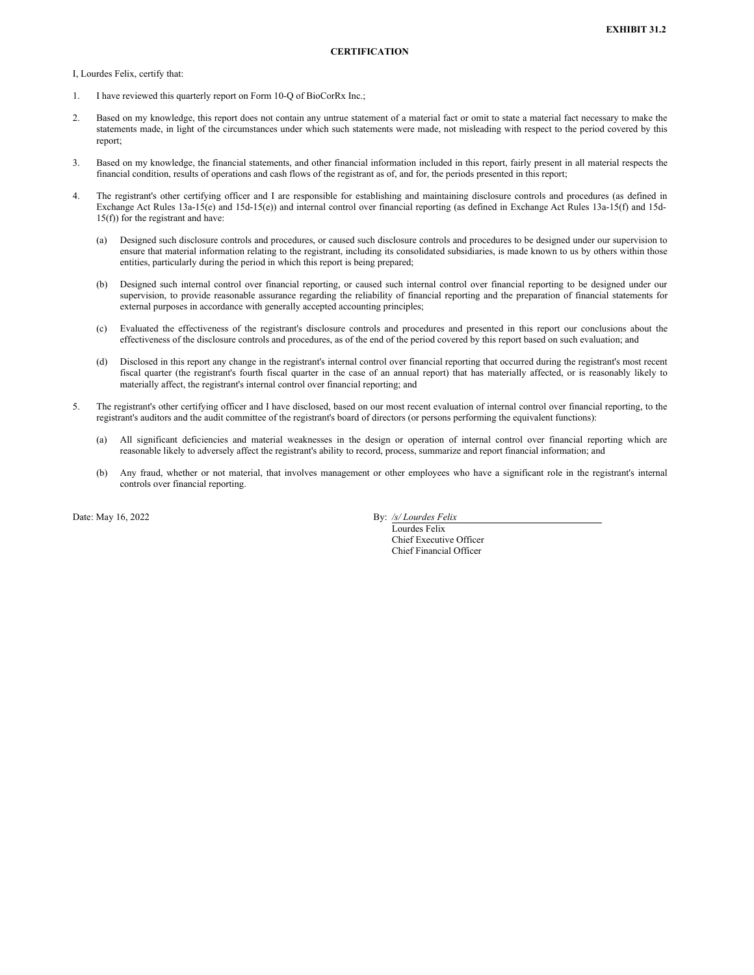<span id="page-34-0"></span>I, Lourdes Felix, certify that:

- 1. I have reviewed this quarterly report on Form 10-Q of BioCorRx Inc.;
- 2. Based on my knowledge, this report does not contain any untrue statement of a material fact or omit to state a material fact necessary to make the statements made, in light of the circumstances under which such statements were made, not misleading with respect to the period covered by this report;
- 3. Based on my knowledge, the financial statements, and other financial information included in this report, fairly present in all material respects the financial condition, results of operations and cash flows of the registrant as of, and for, the periods presented in this report;
- 4. The registrant's other certifying officer and I are responsible for establishing and maintaining disclosure controls and procedures (as defined in Exchange Act Rules 13a-15(e) and 15d-15(e)) and internal control over financial reporting (as defined in Exchange Act Rules 13a-15(f) and 15d-15(f)) for the registrant and have:
	- (a) Designed such disclosure controls and procedures, or caused such disclosure controls and procedures to be designed under our supervision to ensure that material information relating to the registrant, including its consolidated subsidiaries, is made known to us by others within those entities, particularly during the period in which this report is being prepared;
	- (b) Designed such internal control over financial reporting, or caused such internal control over financial reporting to be designed under our supervision, to provide reasonable assurance regarding the reliability of financial reporting and the preparation of financial statements for external purposes in accordance with generally accepted accounting principles;
	- (c) Evaluated the effectiveness of the registrant's disclosure controls and procedures and presented in this report our conclusions about the effectiveness of the disclosure controls and procedures, as of the end of the period covered by this report based on such evaluation; and
	- (d) Disclosed in this report any change in the registrant's internal control over financial reporting that occurred during the registrant's most recent fiscal quarter (the registrant's fourth fiscal quarter in the case of an annual report) that has materially affected, or is reasonably likely to materially affect, the registrant's internal control over financial reporting; and
- 5. The registrant's other certifying officer and I have disclosed, based on our most recent evaluation of internal control over financial reporting, to the registrant's auditors and the audit committee of the registrant's board of directors (or persons performing the equivalent functions):
	- (a) All significant deficiencies and material weaknesses in the design or operation of internal control over financial reporting which are reasonable likely to adversely affect the registrant's ability to record, process, summarize and report financial information; and
	- (b) Any fraud, whether or not material, that involves management or other employees who have a significant role in the registrant's internal controls over financial reporting.

Date: May 16, 2022 By: */s/ Lourdes Felix*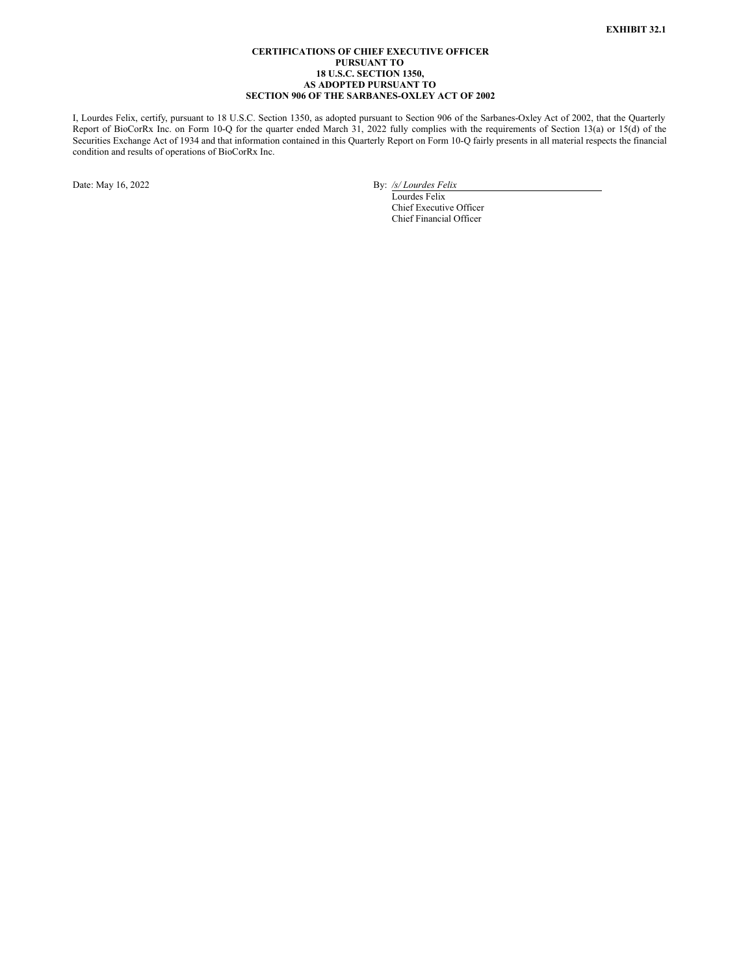#### **CERTIFICATIONS OF CHIEF EXECUTIVE OFFICER PURSUANT TO 18 U.S.C. SECTION 1350, AS ADOPTED PURSUANT TO SECTION 906 OF THE SARBANES-OXLEY ACT OF 2002**

<span id="page-35-0"></span>I, Lourdes Felix, certify, pursuant to 18 U.S.C. Section 1350, as adopted pursuant to Section 906 of the Sarbanes-Oxley Act of 2002, that the Quarterly Report of BioCorRx Inc. on Form 10-Q for the quarter ended March 31, 2022 fully complies with the requirements of Section 13(a) or 15(d) of the Securities Exchange Act of 1934 and that information contained in this Quarterly Report on Form 10-Q fairly presents in all material respects the financial condition and results of operations of BioCorRx Inc.

Date: May 16, 2022 By: */s/ Lourdes Felix*